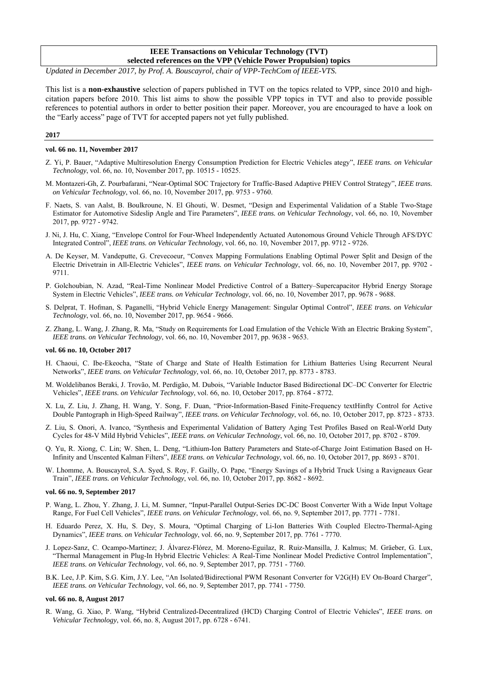# **IEEE Transactions on Vehicular Technology (TVT) selected references on the VPP (Vehicle Power Propulsion) topics**

*Updated in December 2017, by Prof. A. Bouscayrol, chair of VPP-TechCom of IEEE-VTS.* 

This list is a **non-exhaustive** selection of papers published in TVT on the topics related to VPP, since 2010 and highcitation papers before 2010. This list aims to show the possible VPP topics in TVT and also to provide possible references to potential authors in order to better position their paper. Moreover, you are encouraged to have a look on the "Early access" page of TVT for accepted papers not yet fully published.

# **2017**

# **vol. 66 no. 11, November 2017**

- Z. Yi, P. Bauer, "Adaptive Multiresolution Energy Consumption Prediction for Electric Vehicles ategy", *IEEE trans. on Vehicular Technology*, vol. 66, no. 10, November 2017, pp. 10515 - 10525.
- M. Montazeri-Gh, Z. Pourbafarani, "Near-Optimal SOC Trajectory for Traffic-Based Adaptive PHEV Control Strategy", *IEEE trans. on Vehicular Technology*, vol. 66, no. 10, November 2017, pp. 9753 - 9760.
- F. Naets, S. van Aalst, B. Boulkroune, N. El Ghouti, W. Desmet, "Design and Experimental Validation of a Stable Two-Stage Estimator for Automotive Sideslip Angle and Tire Parameters", *IEEE trans. on Vehicular Technology*, vol. 66, no. 10, November 2017, pp. 9727 - 9742.
- J. Ni, J. Hu, C. Xiang, "Envelope Control for Four-Wheel Independently Actuated Autonomous Ground Vehicle Through AFS/DYC Integrated Control", *IEEE trans. on Vehicular Technology*, vol. 66, no. 10, November 2017, pp. 9712 - 9726.
- A. De Keyser, M. Vandeputte, G. Crevecoeur, "Convex Mapping Formulations Enabling Optimal Power Split and Design of the Electric Drivetrain in All-Electric Vehicles", *IEEE trans. on Vehicular Technology*, vol. 66, no. 10, November 2017, pp. 9702 - 9711.
- P. Golchoubian, N. Azad, "Real-Time Nonlinear Model Predictive Control of a Battery–Supercapacitor Hybrid Energy Storage System in Electric Vehicles", *IEEE trans. on Vehicular Technology*, vol. 66, no. 10, November 2017, pp. 9678 - 9688.
- S. Delprat, T. Hofman, S. Paganelli, "Hybrid Vehicle Energy Management: Singular Optimal Control", *IEEE trans. on Vehicular Technology*, vol. 66, no. 10, November 2017, pp. 9654 - 9666.
- Z. Zhang, L. Wang, J. Zhang, R. Ma, "Study on Requirements for Load Emulation of the Vehicle With an Electric Braking System", *IEEE trans. on Vehicular Technology*, vol. 66, no. 10, November 2017, pp. 9638 - 9653.

#### **vol. 66 no. 10, October 2017**

- H. Chaoui, C. Ibe-Ekeocha, "State of Charge and State of Health Estimation for Lithium Batteries Using Recurrent Neural Networks", *IEEE trans. on Vehicular Technology*, vol. 66, no. 10, October 2017, pp. 8773 - 8783.
- M. Woldelibanos Beraki, J. Trovão, M. Perdigão, M. Dubois, "Variable Inductor Based Bidirectional DC–DC Converter for Electric Vehicles", *IEEE trans. on Vehicular Technology*, vol. 66, no. 10, October 2017, pp. 8764 - 8772.
- X. Lu, Z. Liu, J. Zhang, H. Wang, Y. Song, F. Duan, "Prior-Information-Based Finite-Frequency textHinfty Control for Active Double Pantograph in High-Speed Railway", *IEEE trans. on Vehicular Technology*, vol. 66, no. 10, October 2017, pp. 8723 - 8733.
- Z. Liu, S. Onori, A. Ivanco, "Synthesis and Experimental Validation of Battery Aging Test Profiles Based on Real-World Duty Cycles for 48-V Mild Hybrid Vehicles", *IEEE trans. on Vehicular Technology*, vol. 66, no. 10, October 2017, pp. 8702 - 8709.
- Q. Yu, R. Xiong, C. Lin; W. Shen, L. Deng, "Lithium-Ion Battery Parameters and State-of-Charge Joint Estimation Based on H-Infinity and Unscented Kalman Filters", *IEEE trans. on Vehicular Technology*, vol. 66, no. 10, October 2017, pp. 8693 - 8701.
- W. Lhomme, A. Bouscayrol, S.A. Syed, S. Roy, F. Gailly, O. Pape, "Energy Savings of a Hybrid Truck Using a Ravigneaux Gear Train", *IEEE trans. on Vehicular Technology*, vol. 66, no. 10, October 2017, pp. 8682 - 8692.

### **vol. 66 no. 9, September 2017**

- P. Wang, L. Zhou, Y. Zhang, J. Li, M. Sumner, "Input-Parallel Output-Series DC-DC Boost Converter With a Wide Input Voltage Range, For Fuel Cell Vehicles", *IEEE trans. on Vehicular Technology*, vol. 66, no. 9, September 2017, pp. 7771 - 7781.
- H. Eduardo Perez, X. Hu, S. Dey, S. Moura, "Optimal Charging of Li-Ion Batteries With Coupled Electro-Thermal-Aging Dynamics", *IEEE trans. on Vehicular Technology*, vol. 66, no. 9, September 2017, pp. 7761 - 7770.
- J. Lopez-Sanz, C. Ocampo-Martinez; J. Álvarez-Flórez, M. Moreno-Eguilaz, R. Ruiz-Mansilla, J. Kalmus; M. Gräeber, G. Lux, "Thermal Management in Plug-In Hybrid Electric Vehicles: A Real-Time Nonlinear Model Predictive Control Implementation", *IEEE trans. on Vehicular Technology*, vol. 66, no. 9, September 2017, pp. 7751 - 7760.
- B.K. Lee, J.P. Kim, S.G. Kim, J.Y. Lee, "An Isolated/Bidirectional PWM Resonant Converter for V2G(H) EV On-Board Charger", *IEEE trans. on Vehicular Technology*, vol. 66, no. 9, September 2017, pp. 7741 - 7750.

### **vol. 66 no. 8, August 2017**

R. Wang, G. Xiao, P. Wang, "Hybrid Centralized-Decentralized (HCD) Charging Control of Electric Vehicles", *IEEE trans. on Vehicular Technology*, vol. 66, no. 8, August 2017, pp. 6728 - 6741.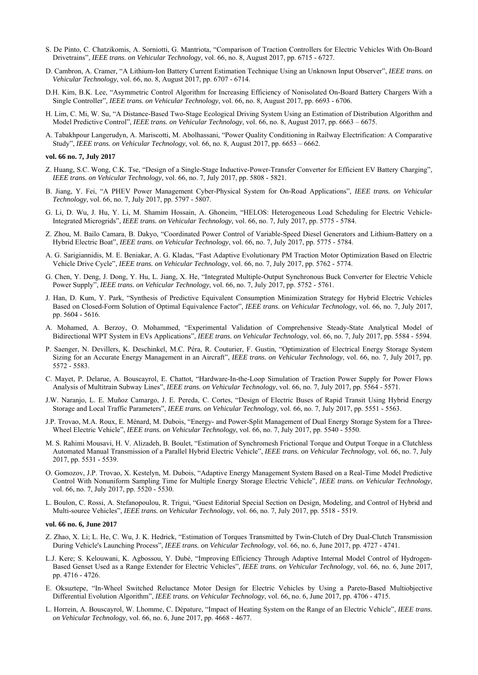- S. De Pinto, C. Chatzikomis, A. Sorniotti, G. Mantriota, "Comparison of Traction Controllers for Electric Vehicles With On-Board Drivetrains", *IEEE trans. on Vehicular Technology*, vol. 66, no. 8, August 2017, pp. 6715 - 6727.
- D. Cambron, A. Cramer, "A Lithium-Ion Battery Current Estimation Technique Using an Unknown Input Observer", *IEEE trans. on Vehicular Technology*, vol. 66, no. 8, August 2017, pp. 6707 - 6714.
- D.H. Kim, B.K. Lee, "Asymmetric Control Algorithm for Increasing Efficiency of Nonisolated On-Board Battery Chargers With a Single Controller", *IEEE trans. on Vehicular Technology*, vol. 66, no. 8, August 2017, pp. 6693 - 6706.
- H. Lim, C. Mi, W. Su, "A Distance-Based Two-Stage Ecological Driving System Using an Estimation of Distribution Algorithm and Model Predictive Control", *IEEE trans. on Vehicular Technology*, vol. 66, no. 8, August 2017, pp. 6663 – 6675.
- A. Tabakhpour Langerudyn, A. Mariscotti, M. Abolhassani, "Power Quality Conditioning in Railway Electrification: A Comparative Study", *IEEE trans. on Vehicular Technology*, vol. 66, no. 8, August 2017, pp. 6653 – 6662.

#### **vol. 66 no. 7, July 2017**

- Z. Huang, S.C. Wong, C.K. Tse, "Design of a Single-Stage Inductive-Power-Transfer Converter for Efficient EV Battery Charging", *IEEE trans. on Vehicular Technology*, vol. 66, no. 7, July 2017, pp. 5808 - 5821.
- B. Jiang, Y. Fei, "A PHEV Power Management Cyber-Physical System for On-Road Applications", *IEEE trans. on Vehicular Technology*, vol. 66, no. 7, July 2017, pp. 5797 - 5807.
- G. Li, D. Wu, J. Hu, Y. Li, M. Shamim Hossain, A. Ghoneim, "HELOS: Heterogeneous Load Scheduling for Electric Vehicle-Integrated Microgrids", *IEEE trans. on Vehicular Technology*, vol. 66, no. 7, July 2017, pp. 5775 - 5784.
- Z. Zhou, M. Bailo Camara, B. Dakyo, "Coordinated Power Control of Variable-Speed Diesel Generators and Lithium-Battery on a Hybrid Electric Boat", *IEEE trans. on Vehicular Technology*, vol. 66, no. 7, July 2017, pp. 5775 - 5784.
- A. G. Sarigiannidis, M. E. Beniakar, A. G. Kladas, "Fast Adaptive Evolutionary PM Traction Motor Optimization Based on Electric Vehicle Drive Cycle", *IEEE trans. on Vehicular Technology*, vol. 66, no. 7, July 2017, pp. 5762 - 5774.
- G. Chen, Y. Deng, J. Dong, Y. Hu, L. Jiang, X. He, "Integrated Multiple-Output Synchronous Buck Converter for Electric Vehicle Power Supply", *IEEE trans. on Vehicular Technology*, vol. 66, no. 7, July 2017, pp. 5752 - 5761.
- J. Han, D. Kum, Y. Park, "Synthesis of Predictive Equivalent Consumption Minimization Strategy for Hybrid Electric Vehicles Based on Closed-Form Solution of Optimal Equivalence Factor", *IEEE trans. on Vehicular Technology*, vol. 66, no. 7, July 2017, pp. 5604 - 5616.
- A. Mohamed, A. Berzoy, O. Mohammed, "Experimental Validation of Comprehensive Steady-State Analytical Model of Bidirectional WPT System in EVs Applications", *IEEE trans. on Vehicular Technology*, vol. 66, no. 7, July 2017, pp. 5584 - 5594.
- P. Saenger, N. Devillers, K. Deschinkel, M.C. Péra, R. Couturier, F. Gustin, "Optimization of Electrical Energy Storage System Sizing for an Accurate Energy Management in an Aircraft", *IEEE trans. on Vehicular Technology*, vol. 66, no. 7, July 2017, pp. 5572 - 5583.
- C. Mayet, P. Delarue, A. Bouscayrol, E. Chattot, "Hardware-In-the-Loop Simulation of Traction Power Supply for Power Flows Analysis of Multitrain Subway Lines", *IEEE trans. on Vehicular Technology*, vol. 66, no. 7, July 2017, pp. 5564 - 5571.
- J.W. Naranjo, L. E. Muñoz Camargo, J. E. Pereda, C. Cortes, "Design of Electric Buses of Rapid Transit Using Hybrid Energy Storage and Local Traffic Parameters", *IEEE trans. on Vehicular Technology*, vol. 66, no. 7, July 2017, pp. 5551 - 5563.
- J.P. Trovao, M.A. Roux, E. Ménard, M. Dubois, "Energy- and Power-Split Management of Dual Energy Storage System for a Three-Wheel Electric Vehicle", *IEEE trans. on Vehicular Technology*, vol. 66, no. 7, July 2017, pp. 5540 - 5550.
- M. S. Rahimi Mousavi, H. V. Alizadeh, B. Boulet, "Estimation of Synchromesh Frictional Torque and Output Torque in a Clutchless Automated Manual Transmission of a Parallel Hybrid Electric Vehicle", *IEEE trans. on Vehicular Technology*, vol. 66, no. 7, July 2017, pp. 5531 - 5539.
- O. Gomozov, J.P. Trovao, X. Kestelyn, M. Dubois, "Adaptive Energy Management System Based on a Real-Time Model Predictive Control With Nonuniform Sampling Time for Multiple Energy Storage Electric Vehicle", *IEEE trans. on Vehicular Technology*, vol. 66, no. 7, July 2017, pp. 5520 - 5530.
- L. Boulon, C. Rossi, A. Stefanopoulou, R. Trigui, "Guest Editorial Special Section on Design, Modeling, and Control of Hybrid and Multi-source Vehicles", *IEEE trans. on Vehicular Technology*, vol. 66, no. 7, July 2017, pp. 5518 - 5519.

### **vol. 66 no. 6, June 2017**

- Z. Zhao, X. Li; L. He, C. Wu, J. K. Hedrick, "Estimation of Torques Transmitted by Twin-Clutch of Dry Dual-Clutch Transmission During Vehicle's Launching Process", *IEEE trans. on Vehicular Technology*, vol. 66, no. 6, June 2017, pp. 4727 - 4741.
- L.J. Kere; S. Kelouwani, K. Agbossou, Y. Dubé, "Improving Efficiency Through Adaptive Internal Model Control of Hydrogen-Based Genset Used as a Range Extender for Electric Vehicles", *IEEE trans. on Vehicular Technology*, vol. 66, no. 6, June 2017, pp. 4716 - 4726.
- E. Oksuztepe, "In-Wheel Switched Reluctance Motor Design for Electric Vehicles by Using a Pareto-Based Multiobjective Differential Evolution Algorithm", *IEEE trans. on Vehicular Technology*, vol. 66, no. 6, June 2017, pp. 4706 - 4715.
- L. Horrein, A. Bouscayrol, W. Lhomme, C. Dépature, "Impact of Heating System on the Range of an Electric Vehicle", *IEEE trans. on Vehicular Technology*, vol. 66, no. 6, June 2017, pp. 4668 - 4677.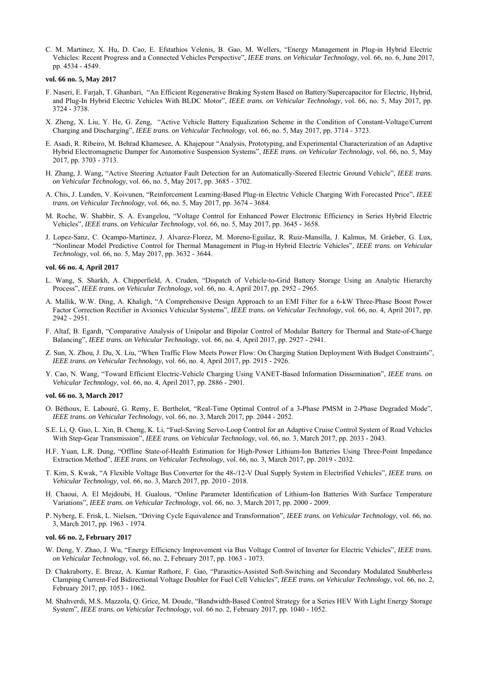C. M. Martinez, X. Hu, D. Cao, E. Efstathios Velenis, B. Gao, M. Wellers, "Energy Management in Plug-in Hybrid Electric Vehicles: Recent Progress and a Connected Vehicles Perspective", *IEEE trans. on Vehicular Technology*, vol. 66, no. 6, June 2017, pp. 4534 - 4549.

### **vol. 66 no. 5, May 2017**

- F. Naseri, E. Farjah, T. Ghanbari, "An Efficient Regenerative Braking System Based on Battery/Supercapacitor for Electric, Hybrid, and Plug-In Hybrid Electric Vehicles With BLDC Motor", *IEEE trans. on Vehicular Technology*, vol. 66, no. 5, May 2017, pp. 3724 - 3738.
- X. Zheng, X. Liu, Y. He, G. Zeng, "Active Vehicle Battery Equalization Scheme in the Condition of Constant-Voltage/Current Charging and Discharging", *IEEE trans. on Vehicular Technology*, vol. 66, no. 5, May 2017, pp. 3714 - 3723.
- E. Asadi, R. Ribeiro, M. Behrad Khamesee, A. Khajepour "Analysis, Prototyping, and Experimental Characterization of an Adaptive Hybrid Electromagnetic Damper for Automotive Suspension Systems", *IEEE trans. on Vehicular Technology*, vol. 66, no. 5, May 2017, pp. 3703 - 3713.
- H. Zhang, J. Wang, "Active Steering Actuator Fault Detection for an Automatically-Steered Electric Ground Vehicle", *IEEE trans. on Vehicular Technology*, vol. 66, no. 5, May 2017, pp. 3685 - 3702.
- A. Chis, J. Lunden, V. Koivunen, "Reinforcement Learning-Based Plug-in Electric Vehicle Charging With Forecasted Price", *IEEE trans. on Vehicular Technology*, vol. 66, no. 5, May 2017, pp. 3674 - 3684.
- M. Roche, W. Shabbir, S. A. Evangelou, "Voltage Control for Enhanced Power Electronic Efficiency in Series Hybrid Electric Vehicles", *IEEE trans. on Vehicular Technology*, vol. 66, no. 5, May 2017, pp. 3645 - 3658.
- J. Lopez-Sanz, C. Ocampo-Martinez, J. Alvarez-Florez, M. Moreno-Eguilaz, R. Ruiz-Mansilla, J. Kalmus, M. Gräeber, G. Lux, "Nonlinear Model Predictive Control for Thermal Management in Plug-in Hybrid Electric Vehicles", *IEEE trans. on Vehicular Technology*, vol. 66, no. 5, May 2017, pp. 3632 - 3644.

# **vol. 66 no. 4, April 2017**

- L. Wang, S. Sharkh, A. Chipperfield, A. Cruden, "Dispatch of Vehicle-to-Grid Battery Storage Using an Analytic Hierarchy Process", *IEEE trans. on Vehicular Technology*, vol. 66, no. 4, April 2017, pp. 2952 - 2965.
- A. Mallik, W.W. Ding, A. Khaligh, "A Comprehensive Design Approach to an EMI Filter for a 6-kW Three-Phase Boost Power Factor Correction Rectifier in Avionics Vehicular Systems", *IEEE trans. on Vehicular Technology*, vol. 66, no. 4, April 2017, pp. 2942 - 2951.
- F. Altaf, B. Egardt, "Comparative Analysis of Unipolar and Bipolar Control of Modular Battery for Thermal and State-of-Charge Balancing", *IEEE trans. on Vehicular Technology*, vol. 66, no. 4, April 2017, pp. 2927 - 2941.
- Z. Sun, X. Zhou, J. Du, X. Liu, "When Traffic Flow Meets Power Flow: On Charging Station Deployment With Budget Constraints", *IEEE trans. on Vehicular Technology*, vol. 66, no. 4, April 2017, pp. 2915 - 2926.
- Y. Cao, N. Wang, "Toward Efficient Electric-Vehicle Charging Using VANET-Based Information Dissemination", *IEEE trans. on Vehicular Technology*, vol. 66, no. 4, April 2017, pp. 2886 - 2901.

#### **vol. 66 no. 3, March 2017**

- O. Béthoux, E. Labouré, G. Remy, E. Berthelot, "Real-Time Optimal Control of a 3-Phase PMSM in 2-Phase Degraded Mode", *IEEE trans. on Vehicular Technology*, vol. 66, no. 3, March 2017, pp. 2044 - 2052.
- S.E. Li, Q. Guo, L. Xin, B. Cheng, K. Li, "Fuel-Saving Servo-Loop Control for an Adaptive Cruise Control System of Road Vehicles With Step-Gear Transmission", *IEEE trans. on Vehicular Technology*, vol. 66, no. 3, March 2017, pp. 2033 - 2043.
- H.F. Yuan, L.R. Dung, "Offline State-of-Health Estimation for High-Power Lithium-Ion Batteries Using Three-Point Impedance Extraction Method", *IEEE trans. on Vehicular Technology*, vol. 66, no. 3, March 2017, pp. 2019 - 2032.
- T. Kim, S. Kwak, "A Flexible Voltage Bus Converter for the 48-/12-V Dual Supply System in Electrified Vehicles", *IEEE trans. on Vehicular Technology*, vol. 66, no. 3, March 2017, pp. 2010 - 2018.
- H. Chaoui, A. El Mejdoubi, H. Gualous, "Online Parameter Identification of Lithium-Ion Batteries With Surface Temperature Variations", *IEEE trans. on Vehicular Technology*, vol. 66, no. 3, March 2017, pp. 2000 - 2009.
- P. Nyberg, E. Frisk, L. Nielsen, "Driving Cycle Equivalence and Transformation", *IEEE trans. on Vehicular Technology*, vol. 66, no. 3, March 2017, pp. 1963 - 1974.

### **vol. 66 no. 2, February 2017**

- W. Deng, Y. Zhao, J. Wu, "Energy Efficiency Improvement via Bus Voltage Control of Inverter for Electric Vehicles", *IEEE trans. on Vehicular Technology*, vol. 66, no. 2, February 2017, pp. 1063 - 1073.
- D. Chakraborty, E. Breaz, A. Kumar Rathore, F. Gao, "Parasitics-Assisted Soft-Switching and Secondary Modulated Snubberless Clamping Current-Fed Bidirectional Voltage Doubler for Fuel Cell Vehicles", *IEEE trans. on Vehicular Technology*, vol. 66, no. 2, February 2017, pp. 1053 - 1062.
- M. Shahverdi, M.S. Mazzola, Q. Grice, M. Doude, "Bandwidth-Based Control Strategy for a Series HEV With Light Energy Storage System", *IEEE trans. on Vehicular Technology*, vol. 66 no. 2, February 2017, pp. 1040 - 1052.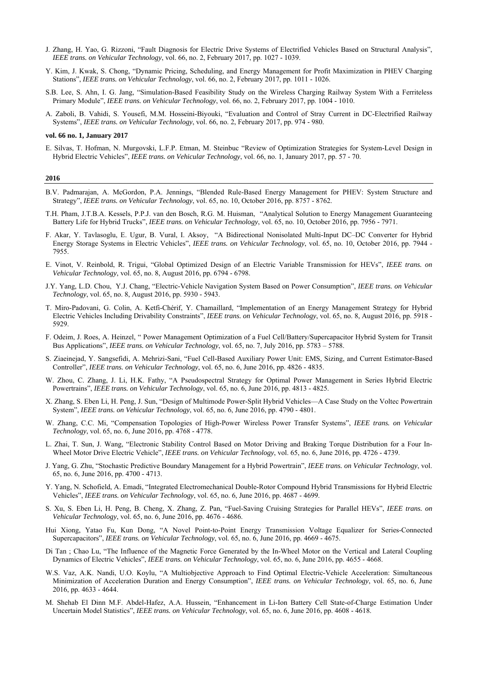- J. Zhang, H. Yao, G. Rizzoni, "Fault Diagnosis for Electric Drive Systems of Electrified Vehicles Based on Structural Analysis", *IEEE trans. on Vehicular Technology*, vol. 66, no. 2, February 2017, pp. 1027 - 1039.
- Y. Kim, J. Kwak, S. Chong, "Dynamic Pricing, Scheduling, and Energy Management for Profit Maximization in PHEV Charging Stations", *IEEE trans. on Vehicular Technology*, vol. 66, no. 2, February 2017, pp. 1011 - 1026.
- S.B. Lee, S. Ahn, I. G. Jang, "Simulation-Based Feasibility Study on the Wireless Charging Railway System With a Ferriteless Primary Module", *IEEE trans. on Vehicular Technology*, vol. 66, no. 2, February 2017, pp. 1004 - 1010.
- A. Zaboli, B. Vahidi, S. Yousefi, M.M. Hosseini-Biyouki, "Evaluation and Control of Stray Current in DC-Electrified Railway Systems", *IEEE trans. on Vehicular Technology*, vol. 66, no. 2, February 2017, pp. 974 - 980.

# **vol. 66 no. 1, January 2017**

E. Silvas, T. Hofman, N. Murgovski, L.F.P. Etman, M. Steinbuc "Review of Optimization Strategies for System-Level Design in Hybrid Electric Vehicles", *IEEE trans. on Vehicular Technology*, vol. 66, no. 1, January 2017, pp. 57 - 70.

- B.V. Padmarajan, A. McGordon, P.A. Jennings, "Blended Rule-Based Energy Management for PHEV: System Structure and Strategy", *IEEE trans. on Vehicular Technology*, vol. 65, no. 10, October 2016, pp. 8757 - 8762.
- T.H. Pham, J.T.B.A. Kessels, P.P.J. van den Bosch, R.G. M. Huisman, "Analytical Solution to Energy Management Guaranteeing Battery Life for Hybrid Trucks", *IEEE trans. on Vehicular Technology*, vol. 65, no. 10, October 2016, pp. 7956 - 7971.
- F. Akar, Y. Tavlasoglu, E. Ugur, B. Vural, I. Aksoy, "A Bidirectional Nonisolated Multi-Input DC–DC Converter for Hybrid Energy Storage Systems in Electric Vehicles", *IEEE trans. on Vehicular Technology*, vol. 65, no. 10, October 2016, pp. 7944 - 7955.
- E. Vinot, V. Reinbold, R. Trigui, "Global Optimized Design of an Electric Variable Transmission for HEVs", *IEEE trans. on Vehicular Technology*, vol. 65, no. 8, August 2016, pp. 6794 - 6798.
- J.Y. Yang, L.D. Chou, Y.J. Chang, "Electric-Vehicle Navigation System Based on Power Consumption", *IEEE trans. on Vehicular Technology*, vol. 65, no. 8, August 2016, pp. 5930 - 5943.
- T. Miro-Padovani, G. Colin, A. Ketfi-Chérif, Y. Chamaillard, "Implementation of an Energy Management Strategy for Hybrid Electric Vehicles Including Drivability Constraints", *IEEE trans. on Vehicular Technology*, vol. 65, no. 8, August 2016, pp. 5918 - 5929.
- F. Odeim, J. Roes, A. Heinzel, " Power Management Optimization of a Fuel Cell/Battery/Supercapacitor Hybrid System for Transit Bus Applications", *IEEE trans. on Vehicular Technology*, vol. 65, no. 7, July 2016, pp. 5783 – 5788.
- S. Ziaeinejad, Y. Sangsefidi, A. Mehrizi-Sani, "Fuel Cell-Based Auxiliary Power Unit: EMS, Sizing, and Current Estimator-Based Controller", *IEEE trans. on Vehicular Technology*, vol. 65, no. 6, June 2016, pp. 4826 - 4835.
- W. Zhou, C. Zhang, J. Li, H.K. Fathy, "A Pseudospectral Strategy for Optimal Power Management in Series Hybrid Electric Powertrains", *IEEE trans. on Vehicular Technology*, vol. 65, no. 6, June 2016, pp. 4813 - 4825.
- X. Zhang, S. Eben Li, H. Peng, J. Sun, "Design of Multimode Power-Split Hybrid Vehicles—A Case Study on the Voltec Powertrain System", *IEEE trans. on Vehicular Technology*, vol. 65, no. 6, June 2016, pp. 4790 - 4801.
- W. Zhang, C.C. Mi, "Compensation Topologies of High-Power Wireless Power Transfer Systems", *IEEE trans. on Vehicular Technology*, vol. 65, no. 6, June 2016, pp. 4768 - 4778.
- L. Zhai, T. Sun, J. Wang, "Electronic Stability Control Based on Motor Driving and Braking Torque Distribution for a Four In-Wheel Motor Drive Electric Vehicle", *IEEE trans. on Vehicular Technology*, vol. 65, no. 6, June 2016, pp. 4726 - 4739.
- J. Yang, G. Zhu, "Stochastic Predictive Boundary Management for a Hybrid Powertrain", *IEEE trans. on Vehicular Technology*, vol. 65, no. 6, June 2016, pp. 4700 - 4713.
- Y. Yang, N. Schofield, A. Emadi, "Integrated Electromechanical Double-Rotor Compound Hybrid Transmissions for Hybrid Electric Vehicles", *IEEE trans. on Vehicular Technology*, vol. 65, no. 6, June 2016, pp. 4687 - 4699.
- S. Xu, S. Eben Li, H. Peng, B. Cheng, X. Zhang, Z. Pan, "Fuel-Saving Cruising Strategies for Parallel HEVs", *IEEE trans. on Vehicular Technology*, vol. 65, no. 6, June 2016, pp. 4676 - 4686.
- Hui Xiong, Yatao Fu, Kun Dong, "A Novel Point-to-Point Energy Transmission Voltage Equalizer for Series-Connected Supercapacitors", *IEEE trans. on Vehicular Technology*, vol. 65, no. 6, June 2016, pp. 4669 - 4675.
- Di Tan ; Chao Lu, "The Influence of the Magnetic Force Generated by the In-Wheel Motor on the Vertical and Lateral Coupling Dynamics of Electric Vehicles", *IEEE trans. on Vehicular Technology*, vol. 65, no. 6, June 2016, pp. 4655 - 4668.
- W.S. Vaz, A.K. Nandi, U.O. Koylu, "A Multiobjective Approach to Find Optimal Electric-Vehicle Acceleration: Simultaneous Minimization of Acceleration Duration and Energy Consumption", *IEEE trans. on Vehicular Technology*, vol. 65, no. 6, June 2016, pp. 4633 - 4644.
- M. Shehab El Dinn M.F. Abdel-Hafez, A.A. Hussein, "Enhancement in Li-Ion Battery Cell State-of-Charge Estimation Under Uncertain Model Statistics", *IEEE trans. on Vehicular Technology*, vol. 65, no. 6, June 2016, pp. 4608 - 4618.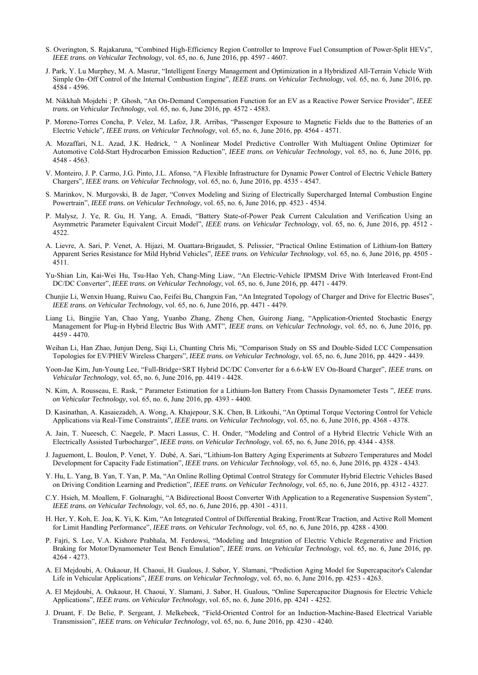- S. Overington, S. Rajakaruna, "Combined High-Efficiency Region Controller to Improve Fuel Consumption of Power-Split HEVs", *IEEE trans. on Vehicular Technology*, vol. 65, no. 6, June 2016, pp. 4597 - 4607.
- J. Park, Y. Lu Murphey, M. A. Masrur, "Intelligent Energy Management and Optimization in a Hybridized All-Terrain Vehicle With Simple On–Off Control of the Internal Combustion Engine", *IEEE trans. on Vehicular Technology*, vol. 65, no. 6, June 2016, pp. 4584 - 4596.
- M. Nikkhah Mojdehi ; P. Ghosh, "An On-Demand Compensation Function for an EV as a Reactive Power Service Provider", *IEEE trans. on Vehicular Technology*, vol. 65, no. 6, June 2016, pp. 4572 - 4583.
- P. Moreno-Torres Concha, P. Velez, M. Lafoz, J.R. Arribas, "Passenger Exposure to Magnetic Fields due to the Batteries of an Electric Vehicle", *IEEE trans. on Vehicular Technology*, vol. 65, no. 6, June 2016, pp. 4564 - 4571.
- A. Mozaffari, N.L. Azad, J.K. Hedrick, " A Nonlinear Model Predictive Controller With Multiagent Online Optimizer for Automotive Cold-Start Hydrocarbon Emission Reduction", *IEEE trans. on Vehicular Technology*, vol. 65, no. 6, June 2016, pp. 4548 - 4563.
- V. Monteiro, J. P. Carmo, J.G. Pinto, J.L. Afonso, "A Flexible Infrastructure for Dynamic Power Control of Electric Vehicle Battery Chargers", *IEEE trans. on Vehicular Technology*, vol. 65, no. 6, June 2016, pp. 4535 - 4547.
- S. Marinkov, N. Murgovski, B. de Jager, "Convex Modeling and Sizing of Electrically Supercharged Internal Combustion Engine Powertrain", *IEEE trans. on Vehicular Technology*, vol. 65, no. 6, June 2016, pp. 4523 - 4534.
- P. Malysz, J. Ye, R. Gu, H. Yang, A. Emadi, "Battery State-of-Power Peak Current Calculation and Verification Using an Asymmetric Parameter Equivalent Circuit Model", *IEEE trans. on Vehicular Technology*, vol. 65, no. 6, June 2016, pp. 4512 - 4522.
- A. Lievre, A. Sari, P. Venet, A. Hijazi, M. Ouattara-Brigaudet, S. Pelissier, "Practical Online Estimation of Lithium-Ion Battery Apparent Series Resistance for Mild Hybrid Vehicles", *IEEE trans. on Vehicular Technology*, vol. 65, no. 6, June 2016, pp. 4505 - 4511.
- Yu-Shian Lin, Kai-Wei Hu, Tsu-Hao Yeh, Chang-Ming Liaw, "An Electric-Vehicle IPMSM Drive With Interleaved Front-End DC/DC Converter", *IEEE trans. on Vehicular Technology*, vol. 65, no. 6, June 2016, pp. 4471 - 4479.
- Chunjie Li, Wenxin Huang, Ruiwu Cao, Feifei Bu, Changxin Fan, "An Integrated Topology of Charger and Drive for Electric Buses", *IEEE trans. on Vehicular Technology*, vol. 65, no. 6, June 2016, pp. 4471 - 4479.
- Liang Li, Bingjie Yan, Chao Yang, Yuanbo Zhang, Zheng Chen, Guirong Jiang, "Application-Oriented Stochastic Energy Management for Plug-in Hybrid Electric Bus With AMT", *IEEE trans. on Vehicular Technology*, vol. 65, no. 6, June 2016, pp. 4459 - 4470.
- Weihan Li, Han Zhao, Junjun Deng, Siqi Li, Chunting Chris Mi, "Comparison Study on SS and Double-Sided LCC Compensation Topologies for EV/PHEV Wireless Chargers", *IEEE trans. on Vehicular Technology*, vol. 65, no. 6, June 2016, pp. 4429 - 4439.
- Yoon-Jae Kim, Jun-Young Lee, "Full-Bridge+SRT Hybrid DC/DC Converter for a 6.6-kW EV On-Board Charger", *IEEE trans. on Vehicular Technology*, vol. 65, no. 6, June 2016, pp. 4419 - 4428.
- N. Kim, A. Rousseau, E. Rask, " Parameter Estimation for a Lithium-Ion Battery From Chassis Dynamometer Tests ", *IEEE trans. on Vehicular Technology*, vol. 65, no. 6, June 2016, pp. 4393 - 4400.
- D. Kasinathan, A. Kasaiezadeh, A. Wong, A. Khajepour, S.K. Chen, B. Litkouhi, "An Optimal Torque Vectoring Control for Vehicle Applications via Real-Time Constraints", *IEEE trans. on Vehicular Technology*, vol. 65, no. 6, June 2016, pp. 4368 - 4378.
- A. Jain, T. Nueesch, C. Naegele, P. Macri Lassus, C. H. Onder, "Modeling and Control of a Hybrid Electric Vehicle With an Electrically Assisted Turbocharger", *IEEE trans. on Vehicular Technology*, vol. 65, no. 6, June 2016, pp. 4344 - 4358.
- J. Jaguemont, L. Boulon, P. Venet, Y. Dubé, A. Sari, "Lithium-Ion Battery Aging Experiments at Subzero Temperatures and Model Development for Capacity Fade Estimation", *IEEE trans. on Vehicular Technology*, vol. 65, no. 6, June 2016, pp. 4328 - 4343.
- Y. Hu, L. Yang, B. Yan, T. Yan, P. Ma, "An Online Rolling Optimal Control Strategy for Commuter Hybrid Electric Vehicles Based on Driving Condition Learning and Prediction", *IEEE trans. on Vehicular Technology*, vol. 65, no. 6, June 2016, pp. 4312 - 4327.
- C.Y. Hsieh, M. Moallem, F. Golnaraghi, "A Bidirectional Boost Converter With Application to a Regenerative Suspension System", *IEEE trans. on Vehicular Technology*, vol. 65, no. 6, June 2016, pp. 4301 - 4311.
- H. Her, Y. Koh, E. Joa, K. Yi, K. Kim, "An Integrated Control of Differential Braking, Front/Rear Traction, and Active Roll Moment for Limit Handling Performance", *IEEE trans. on Vehicular Technology*, vol. 65, no. 6, June 2016, pp. 4288 - 4300.
- P. Fajri, S. Lee, V.A. Kishore Prabhala, M. Ferdowsi, "Modeling and Integration of Electric Vehicle Regenerative and Friction Braking for Motor/Dynamometer Test Bench Emulation", *IEEE trans. on Vehicular Technology*, vol. 65, no. 6, June 2016, pp. 4264 - 4273.
- A. El Mejdoubi, A. Oukaour, H. Chaoui, H. Gualous, J. Sabor, Y. Slamani, "Prediction Aging Model for Supercapacitor's Calendar Life in Vehicular Applications", *IEEE trans. on Vehicular Technology*, vol. 65, no. 6, June 2016, pp. 4253 - 4263.
- A. El Mejdoubi, A. Oukaour, H. Chaoui, Y. Slamani, J. Sabor, H. Gualous, "Online Supercapacitor Diagnosis for Electric Vehicle Applications", *IEEE trans. on Vehicular Technology*, vol. 65, no. 6, June 2016, pp. 4241 - 4252.
- J. Druant, F. De Belie, P. Sergeant, J. Melkebeek, "Field-Oriented Control for an Induction-Machine-Based Electrical Variable Transmission", *IEEE trans. on Vehicular Technology*, vol. 65, no. 6, June 2016, pp. 4230 - 4240.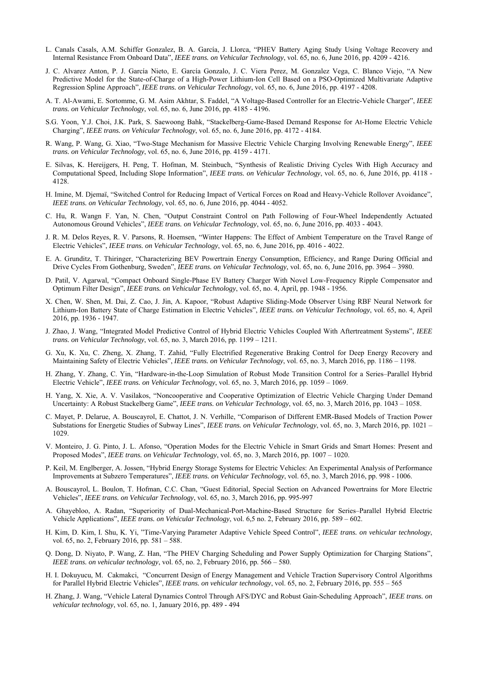- L. Canals Casals, A.M. Schiffer Gonzalez, B. A. García, J. Llorca, "PHEV Battery Aging Study Using Voltage Recovery and Internal Resistance From Onboard Data", *IEEE trans. on Vehicular Technology*, vol. 65, no. 6, June 2016, pp. 4209 - 4216.
- J. C. Alvarez Anton, P. J. García Nieto, E. García Gonzalo, J. C. Viera Perez, M. Gonzalez Vega, C. Blanco Viejo, "A New Predictive Model for the State-of-Charge of a High-Power Lithium-Ion Cell Based on a PSO-Optimized Multivariate Adaptive Regression Spline Approach", *IEEE trans. on Vehicular Technology*, vol. 65, no. 6, June 2016, pp. 4197 - 4208.
- A. T. Al-Awami, E. Sortomme, G. M. Asim Akhtar, S. Faddel, "A Voltage-Based Controller for an Electric-Vehicle Charger", *IEEE trans. on Vehicular Technology*, vol. 65, no. 6, June 2016, pp. 4185 - 4196.
- S.G. Yoon, Y.J. Choi, J.K. Park, S. Saewoong Bahk, "Stackelberg-Game-Based Demand Response for At-Home Electric Vehicle Charging", *IEEE trans. on Vehicular Technology*, vol. 65, no. 6, June 2016, pp. 4172 - 4184.
- R. Wang, P. Wang, G. Xiao, "Two-Stage Mechanism for Massive Electric Vehicle Charging Involving Renewable Energy", *IEEE trans. on Vehicular Technology*, vol. 65, no. 6, June 2016, pp. 4159 - 4171.
- E. Silvas, K. Hereijgers, H. Peng, T. Hofman, M. Steinbuch, "Synthesis of Realistic Driving Cycles With High Accuracy and Computational Speed, Including Slope Information", *IEEE trans. on Vehicular Technology*, vol. 65, no. 6, June 2016, pp. 4118 - 4128.
- H. Imine, M. Djemaï, "Switched Control for Reducing Impact of Vertical Forces on Road and Heavy-Vehicle Rollover Avoidance", *IEEE trans. on Vehicular Technology*, vol. 65, no. 6, June 2016, pp. 4044 - 4052.
- C. Hu, R. Wangn F. Yan, N. Chen, "Output Constraint Control on Path Following of Four-Wheel Independently Actuated Autonomous Ground Vehicles", *IEEE trans. on Vehicular Technology*, vol. 65, no. 6, June 2016, pp. 4033 - 4043.
- J. R. M. Delos Reyes, R. V. Parsons, R. Hoemsen, "Winter Happens: The Effect of Ambient Temperature on the Travel Range of Electric Vehicles", *IEEE trans. on Vehicular Technology*, vol. 65, no. 6, June 2016, pp. 4016 - 4022.
- E. A. Grunditz, T. Thiringer, "Characterizing BEV Powertrain Energy Consumption, Efficiency, and Range During Official and Drive Cycles From Gothenburg, Sweden", *IEEE trans. on Vehicular Technology*, vol. 65, no. 6, June 2016, pp. 3964 – 3980.
- D. Patil, V. Agarwal, "Compact Onboard Single-Phase EV Battery Charger With Novel Low-Frequency Ripple Compensator and Optimum Filter Design", *IEEE trans. on Vehicular Technology*, vol. 65, no. 4, April, pp. 1948 - 1956.
- X. Chen, W. Shen, M. Dai, Z. Cao, J. Jin, A. Kapoor, "Robust Adaptive Sliding-Mode Observer Using RBF Neural Network for Lithium-Ion Battery State of Charge Estimation in Electric Vehicles", *IEEE trans. on Vehicular Technology*, vol. 65, no. 4, April 2016, pp. 1936 - 1947.
- J. Zhao, J. Wang, "Integrated Model Predictive Control of Hybrid Electric Vehicles Coupled With Aftertreatment Systems", *IEEE trans. on Vehicular Technology*, vol. 65, no. 3, March 2016, pp. 1199 – 1211.
- G. Xu, K. Xu, C. Zheng, X. Zhang, T. Zahid, "Fully Electrified Regenerative Braking Control for Deep Energy Recovery and Maintaining Safety of Electric Vehicles", *IEEE trans. on Vehicular Technology*, vol. 65, no. 3, March 2016, pp. 1186 – 1198.
- H. Zhang, Y. Zhang, C. Yin, "Hardware-in-the-Loop Simulation of Robust Mode Transition Control for a Series–Parallel Hybrid Electric Vehicle", *IEEE trans. on Vehicular Technology*, vol. 65, no. 3, March 2016, pp. 1059 – 1069.
- H. Yang, X. Xie, A. V. Vasilakos, "Noncooperative and Cooperative Optimization of Electric Vehicle Charging Under Demand Uncertainty: A Robust Stackelberg Game", *IEEE trans. on Vehicular Technology*, vol. 65, no. 3, March 2016, pp. 1043 – 1058.
- C. Mayet, P. Delarue, A. Bouscayrol, E. Chattot, J. N. Verhille, "Comparison of Different EMR-Based Models of Traction Power Substations for Energetic Studies of Subway Lines", *IEEE trans. on Vehicular Technology*, vol. 65, no. 3, March 2016, pp. 1021 – 1029.
- V. Monteiro, J. G. Pinto, J. L. Afonso, "Operation Modes for the Electric Vehicle in Smart Grids and Smart Homes: Present and Proposed Modes", *IEEE trans. on Vehicular Technology*, vol. 65, no. 3, March 2016, pp. 1007 – 1020.
- P. Keil, M. Englberger, A. Jossen, "Hybrid Energy Storage Systems for Electric Vehicles: An Experimental Analysis of Performance Improvements at Subzero Temperatures", *IEEE trans. on Vehicular Technology*, vol. 65, no. 3, March 2016, pp. 998 - 1006.
- A. Bouscayrol, L. Boulon, T. Hofman, C.C. Chan, "Guest Editorial, Special Section on Advanced Powertrains for More Electric Vehicles", *IEEE trans. on Vehicular Technology*, vol. 65, no. 3, March 2016, pp. 995-997
- A. Ghayebloo, A. Radan, "Superiority of Dual-Mechanical-Port-Machine-Based Structure for Series–Parallel Hybrid Electric Vehicle Applications", *IEEE trans. on Vehicular Technology*, vol. 6,5 no. 2, February 2016, pp. 589 – 602.
- H. Kim, D. Kim, I. Shu, K. Yi, "Time-Varying Parameter Adaptive Vehicle Speed Control", *IEEE trans. on vehicular technology*, vol. 65, no. 2, February 2016, pp. 581 – 588.
- Q. Dong, D. Niyato, P. Wang, Z. Han, "The PHEV Charging Scheduling and Power Supply Optimization for Charging Stations", *IEEE trans. on vehicular technology*, vol. 65, no. 2, February 2016, pp. 566 – 580.
- H. I. Dokuyucu, M. Cakmakci, "Concurrent Design of Energy Management and Vehicle Traction Supervisory Control Algorithms for Parallel Hybrid Electric Vehicles", *IEEE trans. on vehicular technology*, vol. 65, no. 2, February 2016, pp. 555 – 565
- H. Zhang, J. Wang, "Vehicle Lateral Dynamics Control Through AFS/DYC and Robust Gain-Scheduling Approach", *IEEE trans. on vehicular technology*, vol. 65, no. 1, January 2016, pp. 489 - 494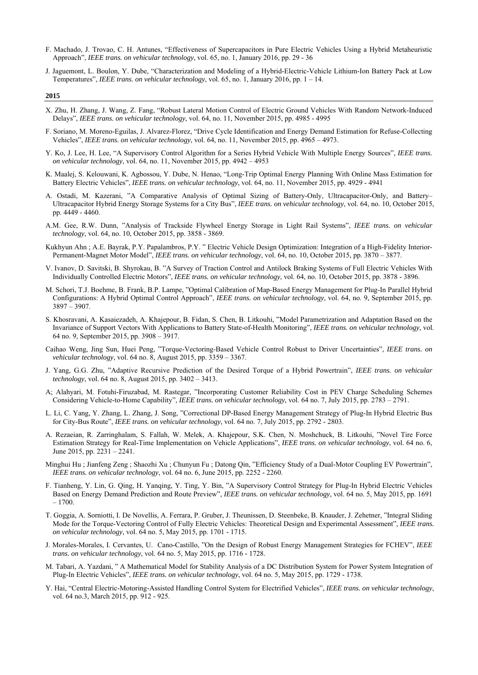- F. Machado, J. Trovao, C. H. Antunes, "Effectiveness of Supercapacitors in Pure Electric Vehicles Using a Hybrid Metaheuristic Approach", *IEEE trans. on vehicular technology*, vol. 65, no. 1, January 2016, pp. 29 - 36
- J. Jaguemont, L. Boulon, Y. Dube, "Characterization and Modeling of a Hybrid-Electric-Vehicle Lithium-Ion Battery Pack at Low Temperatures", *IEEE trans. on vehicular technology*, vol. 65, no. 1, January 2016, pp. 1 – 14.

- X. Zhu, H. Zhang, J. Wang, Z. Fang, "Robust Lateral Motion Control of Electric Ground Vehicles With Random Network-Induced Delays", *IEEE trans. on vehicular technology*, vol. 64, no. 11, November 2015, pp. 4985 - 4995
- F. Soriano, M. Moreno-Eguilas, J. Alvarez-Florez, "Drive Cycle Identification and Energy Demand Estimation for Refuse-Collecting Vehicles", *IEEE trans. on vehicular technology*, vol. 64, no. 11, November 2015, pp. 4965 – 4973.
- Y. Ko, J. Lee, H. Lee, "A Supervisory Control Algorithm for a Series Hybrid Vehicle With Multiple Energy Sources", *IEEE trans. on vehicular technology*, vol. 64, no. 11, November 2015, pp. 4942 – 4953
- K. Maalej, S. Kelouwani, K. Agbossou, Y. Dube, N. Henao, "Long-Trip Optimal Energy Planning With Online Mass Estimation for Battery Electric Vehicles", *IEEE trans. on vehicular technology*, vol. 64, no. 11, November 2015, pp. 4929 - 4941
- A. Ostadi, M. Kazerani, "A Comparative Analysis of Optimal Sizing of Battery-Only, Ultracapacitor-Only, and Battery– Ultracapacitor Hybrid Energy Storage Systems for a City Bus", *IEEE trans. on vehicular technology*, vol. 64, no. 10, October 2015, pp. 4449 - 4460.
- A.M. Gee, R.W. Dunn, "Analysis of Trackside Flywheel Energy Storage in Light Rail Systems", *IEEE trans. on vehicular technology*, vol. 64, no. 10, October 2015, pp. 3858 - 3869.
- Kukhyun Ahn ; A.E. Bayrak, P.Y. Papalambros, P.Y. " Electric Vehicle Design Optimization: Integration of a High-Fidelity Interior-Permanent-Magnet Motor Model", *IEEE trans. on vehicular technology*, vol. 64, no. 10, October 2015, pp. 3870 – 3877.
- V. Ivanov, D. Savitski, B. Shyrokau, B. "A Survey of Traction Control and Antilock Braking Systems of Full Electric Vehicles With Individually Controlled Electric Motors", *IEEE trans. on vehicular technology*, vol. 64, no. 10, October 2015, pp. 3878 - 3896.
- M. Schori, T.J. Boehme, B. Frank, B.P. Lampe, "Optimal Calibration of Map-Based Energy Management for Plug-In Parallel Hybrid Configurations: A Hybrid Optimal Control Approach", *IEEE trans. on vehicular technology*, vol. 64, no. 9, September 2015, pp. 3897 – 3907.
- S. Khosravani, A. Kasaiezadeh, A. Khajepour, B. Fidan, S. Chen, B. Litkouhi, "Model Parametrization and Adaptation Based on the Invariance of Support Vectors With Applications to Battery State-of-Health Monitoring", *IEEE trans. on vehicular technology*, vol. 64 no. 9, September 2015, pp. 3908 – 3917.
- Caihao Weng, Jing Sun, Huei Peng, "Torque-Vectoring-Based Vehicle Control Robust to Driver Uncertainties", *IEEE trans. on vehicular technology*, vol. 64 no. 8, August 2015, pp. 3359 – 3367.
- J. Yang, G.G. Zhu, "Adaptive Recursive Prediction of the Desired Torque of a Hybrid Powertrain", *IEEE trans. on vehicular technology*, vol. 64 no. 8, August 2015, pp. 3402 – 3413.
- A; Alahyari, M. Fotuhi-Firuzabad, M. Rastegar, "Incorporating Customer Reliability Cost in PEV Charge Scheduling Schemes Considering Vehicle-to-Home Capability", *IEEE trans. on vehicular technology*, vol. 64 no. 7, July 2015, pp. 2783 – 2791.
- L. Li, C. Yang, Y. Zhang, L. Zhang, J. Song, "Correctional DP-Based Energy Management Strategy of Plug-In Hybrid Electric Bus for City-Bus Route", *IEEE trans. on vehicular technology*, vol. 64 no. 7, July 2015, pp. 2792 - 2803.
- A. Rezaeian, R. Zarringhalam, S. Fallah, W. Melek, A. Khajepour, S.K. Chen, N. Moshchuck, B. Litkouhi, "Novel Tire Force Estimation Strategy for Real-Time Implementation on Vehicle Applications", *IEEE trans. on vehicular technology*, vol. 64 no. 6, June 2015, pp. 2231 – 2241.
- Minghui Hu ; Jianfeng Zeng ; Shaozhi Xu ; Chunyun Fu ; Datong Qin, "Efficiency Study of a Dual-Motor Coupling EV Powertrain", *IEEE trans. on vehicular technology*, vol. 64 no. 6, June 2015, pp. 2252 - 2260.
- F. Tianheng, Y. Lin, G. Qing, H. Yanqing, Y. Ting, Y. Bin, "A Supervisory Control Strategy for Plug-In Hybrid Electric Vehicles Based on Energy Demand Prediction and Route Preview", *IEEE trans. on vehicular technology*, vol. 64 no. 5, May 2015, pp. 1691  $-1700.$
- T. Goggia, A. Sorniotti, I. De Novellis, A. Ferrara, P. Gruber, J. Theunissen, D. Steenbeke, B. Knauder, J. Zehetner, "Integral Sliding Mode for the Torque-Vectoring Control of Fully Electric Vehicles: Theoretical Design and Experimental Assessment", *IEEE trans. on vehicular technology*, vol. 64 no. 5, May 2015, pp. 1701 - 1715.
- J. Morales-Morales, I. Cervantes, U. Cano-Castillo, "On the Design of Robust Energy Management Strategies for FCHEV", *IEEE trans. on vehicular technology*, vol. 64 no. 5, May 2015, pp. 1716 - 1728.
- M. Tabari, A. Yazdani, " A Mathematical Model for Stability Analysis of a DC Distribution System for Power System Integration of Plug-In Electric Vehicles", *IEEE trans. on vehicular technology*, vol. 64 no. 5, May 2015, pp. 1729 - 1738.
- Y. Hai, "Central Electric-Motoring-Assisted Handling Control System for Electrified Vehicles", *IEEE trans. on vehicular technology*, vol. 64 no.3, March 2015, pp. 912 - 925.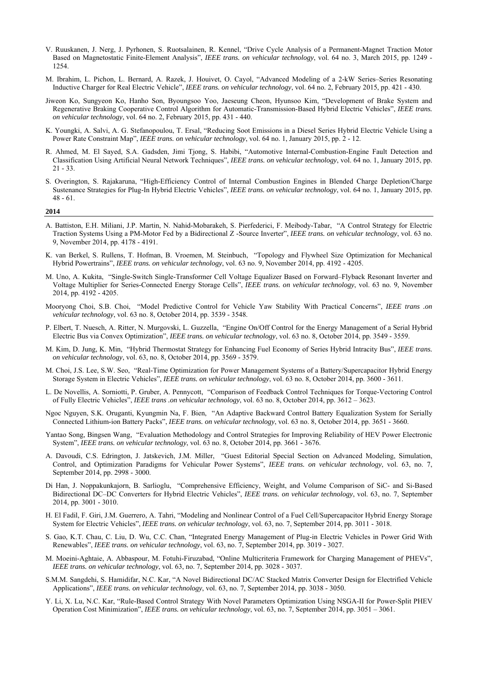- V. Ruuskanen, J. Nerg, J. Pyrhonen, S. Ruotsalainen, R. Kennel, "Drive Cycle Analysis of a Permanent-Magnet Traction Motor Based on Magnetostatic Finite-Element Analysis", *IEEE trans. on vehicular technology*, vol. 64 no. 3, March 2015, pp. 1249 - 1254.
- M. Ibrahim, L. Pichon, L. Bernard, A. Razek, J. Houivet, O. Cayol, "Advanced Modeling of a 2-kW Series–Series Resonating Inductive Charger for Real Electric Vehicle", *IEEE trans. on vehicular technology*, vol. 64 no. 2, February 2015, pp. 421 - 430.
- Jiweon Ko, Sungyeon Ko, Hanho Son, Byoungsoo Yoo, Jaeseung Cheon, Hyunsoo Kim, "Development of Brake System and Regenerative Braking Cooperative Control Algorithm for Automatic-Transmission-Based Hybrid Electric Vehicles", *IEEE trans. on vehicular technology*, vol. 64 no. 2, February 2015, pp. 431 - 440.
- K. Youngki, A. Salvi, A. G. Stefanopoulou, T. Ersal, "Reducing Soot Emissions in a Diesel Series Hybrid Electric Vehicle Using a Power Rate Constraint Map", *IEEE trans. on vehicular technology*, vol. 64 no. 1, January 2015, pp. 2 - 12.
- R. Ahmed, M. El Sayed, S.A. Gadsden, Jimi Tjong, S. Habibi, "Automotive Internal-Combustion-Engine Fault Detection and Classification Using Artificial Neural Network Techniques", *IEEE trans. on vehicular technology*, vol. 64 no. 1, January 2015, pp. 21 - 33.
- S. Overington, S. Rajakaruna, "High-Efficiency Control of Internal Combustion Engines in Blended Charge Depletion/Charge Sustenance Strategies for Plug-In Hybrid Electric Vehicles", *IEEE trans. on vehicular technology*, vol. 64 no. 1, January 2015, pp. 48 - 61.

- A. Battiston, E.H. Miliani, J.P. Martin, N. Nahid-Mobarakeh, S. Pierfederici, F. Meibody-Tabar, "A Control Strategy for Electric Traction Systems Using a PM-Motor Fed by a Bidirectional Z -Source Inverter", *IEEE trans. on vehicular technology*, vol. 63 no. 9, November 2014, pp. 4178 - 4191.
- K. van Berkel, S. Rullens, T. Hofman, B. Vroemen, M. Steinbuch, "Topology and Flywheel Size Optimization for Mechanical Hybrid Powertrains", *IEEE trans. on vehicular technology*, vol. 63 no. 9, November 2014, pp. 4192 - 4205.
- M. Uno, A. Kukita, "Single-Switch Single-Transformer Cell Voltage Equalizer Based on Forward–Flyback Resonant Inverter and Voltage Multiplier for Series-Connected Energy Storage Cells", *IEEE trans. on vehicular technology*, vol. 63 no. 9, November 2014, pp. 4192 - 4205.
- Mooryong Choi, S.B. Choi, "Model Predictive Control for Vehicle Yaw Stability With Practical Concerns", *IEEE trans .on vehicular technology*, vol. 63 no. 8, October 2014, pp. 3539 - 3548.
- P. Elbert, T. Nuesch, A. Ritter, N. Murgovski, L. Guzzella, "Engine On/Off Control for the Energy Management of a Serial Hybrid Electric Bus via Convex Optimization", *IEEE trans. on vehicular technology*, vol. 63 no. 8, October 2014, pp. 3549 - 3559.
- M. Kim, D. Jung, K. Min, "Hybrid Thermostat Strategy for Enhancing Fuel Economy of Series Hybrid Intracity Bus", *IEEE trans. on vehicular technology*, vol. 63, no. 8, October 2014, pp. 3569 - 3579.
- M. Choi, J.S. Lee, S.W. Seo, "Real-Time Optimization for Power Management Systems of a Battery/Supercapacitor Hybrid Energy Storage System in Electric Vehicles", *IEEE trans. on vehicular technology*, vol. 63 no. 8, October 2014, pp. 3600 - 3611.
- L. De Novellis, A. Sorniotti, P. Gruber, A. Pennycott, "Comparison of Feedback Control Techniques for Torque-Vectoring Control of Fully Electric Vehicles", *IEEE trans .on vehicular technology*, vol. 63 no. 8, October 2014, pp. 3612 – 3623.
- Ngoc Nguyen, S.K. Oruganti, Kyungmin Na, F. Bien, "An Adaptive Backward Control Battery Equalization System for Serially Connected Lithium-ion Battery Packs", *IEEE trans. on vehicular technology*, vol. 63 no. 8, October 2014, pp. 3651 - 3660.
- Yantao Song, Bingsen Wang, "Evaluation Methodology and Control Strategies for Improving Reliability of HEV Power Electronic System", *IEEE trans. on vehicular technology*, vol. 63 no. 8, October 2014, pp. 3661 - 3676.
- A. Davoudi, C.S. Edrington, J. Jatskevich, J.M. Miller, "Guest Editorial Special Section on Advanced Modeling, Simulation, Control, and Optimization Paradigms for Vehicular Power Systems", *IEEE trans. on vehicular technology*, vol. 63, no. 7, September 2014, pp. 2998 - 3000.
- Di Han, J. Noppakunkajorn, B. Sarlioglu, "Comprehensive Efficiency, Weight, and Volume Comparison of SiC- and Si-Based Bidirectional DC–DC Converters for Hybrid Electric Vehicles", *IEEE trans. on vehicular technology*, vol. 63, no. 7, September 2014, pp. 3001 - 3010.
- H. El Fadil, F. Giri, J.M. Guerrero, A. Tahri, "Modeling and Nonlinear Control of a Fuel Cell/Supercapacitor Hybrid Energy Storage System for Electric Vehicles", *IEEE trans. on vehicular technology*, vol. 63, no. 7, September 2014, pp. 3011 - 3018.
- S. Gao, K.T. Chau, C. Liu, D. Wu, C.C. Chan, "Integrated Energy Management of Plug-in Electric Vehicles in Power Grid With Renewables", *IEEE trans. on vehicular technology*, vol. 63, no. 7, September 2014, pp. 3019 - 3027.
- M. Moeini-Aghtaie, A. Abbaspour, M. Fotuhi-Firuzabad, "Online Multicriteria Framework for Charging Management of PHEVs", *IEEE trans. on vehicular technology*, vol. 63, no. 7, September 2014, pp. 3028 - 3037.
- S.M.M. Sangdehi, S. Hamidifar, N.C. Kar, "A Novel Bidirectional DC/AC Stacked Matrix Converter Design for Electrified Vehicle Applications", *IEEE trans. on vehicular technology*, vol. 63, no. 7, September 2014, pp. 3038 - 3050.
- Y. Li, X. Lu, N.C. Kar, "Rule-Based Control Strategy With Novel Parameters Optimization Using NSGA-II for Power-Split PHEV Operation Cost Minimization", *IEEE trans. on vehicular technology*, vol. 63, no. 7, September 2014, pp. 3051 – 3061.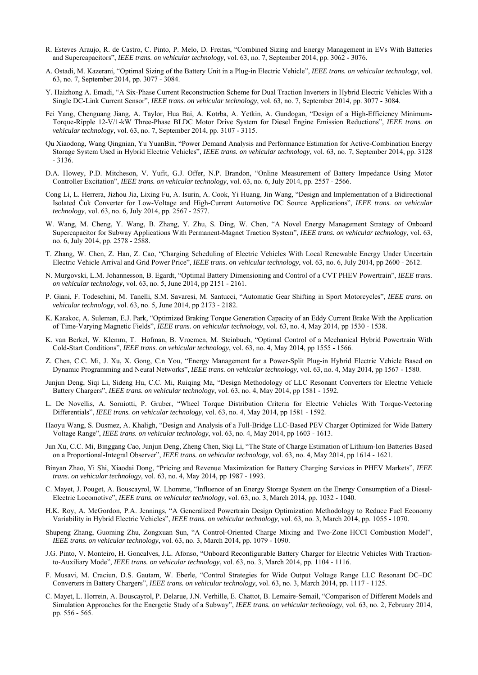- R. Esteves Araujo, R. de Castro, C. Pinto, P. Melo, D. Freitas, "Combined Sizing and Energy Management in EVs With Batteries and Supercapacitors", *IEEE trans. on vehicular technology*, vol. 63, no. 7, September 2014, pp. 3062 - 3076.
- A. Ostadi, M. Kazerani, "Optimal Sizing of the Battery Unit in a Plug-in Electric Vehicle", *IEEE trans. on vehicular technology*, vol. 63, no. 7, September 2014, pp. 3077 - 3084.
- Y. Haizhong A. Emadi, "A Six-Phase Current Reconstruction Scheme for Dual Traction Inverters in Hybrid Electric Vehicles With a Single DC-Link Current Sensor", *IEEE trans. on vehicular technology*, vol. 63, no. 7, September 2014, pp. 3077 - 3084.
- Fei Yang, Chenguang Jiang, A. Taylor, Hua Bai, A. Kotrba, A. Yetkin, A. Gundogan, "Design of a High-Efficiency Minimum-Torque-Ripple 12-V/1-kW Three-Phase BLDC Motor Drive System for Diesel Engine Emission Reductions", *IEEE trans. on vehicular technology*, vol. 63, no. 7, September 2014, pp. 3107 - 3115.
- Qu Xiaodong, Wang Qingnian, Yu YuanBin, "Power Demand Analysis and Performance Estimation for Active-Combination Energy Storage System Used in Hybrid Electric Vehicles", *IEEE trans. on vehicular technology*, vol. 63, no. 7, September 2014, pp. 3128 - 3136.
- D.A. Howey, P.D. Mitcheson, V. Yufit, G.J. Offer, N.P. Brandon, "Online Measurement of Battery Impedance Using Motor Controller Excitation", *IEEE trans. on vehicular technology*, vol. 63, no. 6, July 2014, pp. 2557 - 2566.
- Cong Li, L. Herrera, Jizhou Jia, Lixing Fu, A. Isurin, A. Cook, Yi Huang, Jin Wang, "Design and Implementation of a Bidirectional Isolated Ćuk Converter for Low-Voltage and High-Current Automotive DC Source Applications", *IEEE trans. on vehicular technology*, vol. 63, no. 6, July 2014, pp. 2567 - 2577.
- W. Wang, M. Cheng, Y. Wang, B. Zhang, Y. Zhu, S. Ding, W. Chen, "A Novel Energy Management Strategy of Onboard Supercapacitor for Subway Applications With Permanent-Magnet Traction System", *IEEE trans. on vehicular technology*, vol. 63, no. 6, July 2014, pp. 2578 - 2588.
- T. Zhang, W. Chen, Z. Han, Z. Cao, "Charging Scheduling of Electric Vehicles With Local Renewable Energy Under Uncertain Electric Vehicle Arrival and Grid Power Price", *IEEE trans. on vehicular technology*, vol. 63, no. 6, July 2014, pp 2600 - 2612.
- N. Murgovski, L.M. Johannesson, B. Egardt, "Optimal Battery Dimensioning and Control of a CVT PHEV Powertrain", *IEEE trans. on vehicular technology*, vol. 63, no. 5, June 2014, pp 2151 - 2161.
- P. Giani, F. Todeschini, M. Tanelli, S.M. Savaresi, M. Santucci, "Automatic Gear Shifting in Sport Motorcycles", *IEEE trans. on vehicular technology*, vol. 63, no. 5, June 2014, pp 2173 - 2182.
- K. Karakoc, A. Suleman, E.J. Park, "Optimized Braking Torque Generation Capacity of an Eddy Current Brake With the Application of Time-Varying Magnetic Fields", *IEEE trans. on vehicular technology*, vol. 63, no. 4, May 2014, pp 1530 - 1538.
- K. van Berkel, W. Klemm, T. Hofman, B. Vroemen, M. Steinbuch, "Optimal Control of a Mechanical Hybrid Powertrain With Cold-Start Conditions", *IEEE trans. on vehicular technology*, vol. 63, no. 4, May 2014, pp 1555 - 1566.
- Z. Chen, C.C. Mi, J. Xu, X. Gong, C.n You, "Energy Management for a Power-Split Plug-in Hybrid Electric Vehicle Based on Dynamic Programming and Neural Networks", *IEEE trans. on vehicular technology*, vol. 63, no. 4, May 2014, pp 1567 - 1580.
- Junjun Deng, Siqi Li, Sideng Hu, C.C. Mi, Ruiqing Ma, "Design Methodology of LLC Resonant Converters for Electric Vehicle Battery Chargers", *IEEE trans. on vehicular technology*, vol. 63, no. 4, May 2014, pp 1581 - 1592.
- L. De Novellis, A. Sorniotti, P. Gruber, "Wheel Torque Distribution Criteria for Electric Vehicles With Torque-Vectoring Differentials", *IEEE trans. on vehicular technology*, vol. 63, no. 4, May 2014, pp 1581 - 1592.
- Haoyu Wang, S. Dusmez, A. Khaligh, "Design and Analysis of a Full-Bridge LLC-Based PEV Charger Optimized for Wide Battery Voltage Range", *IEEE trans. on vehicular technology*, vol. 63, no. 4, May 2014, pp 1603 - 1613.
- Jun Xu, C.C. Mi, Binggang Cao, Junjun Deng, Zheng Chen, Siqi Li, "The State of Charge Estimation of Lithium-Ion Batteries Based on a Proportional-Integral Observer", *IEEE trans. on vehicular technology*, vol. 63, no. 4, May 2014, pp 1614 - 1621.
- Binyan Zhao, Yi Shi, Xiaodai Dong, "Pricing and Revenue Maximization for Battery Charging Services in PHEV Markets", *IEEE trans. on vehicular technology*, vol. 63, no. 4, May 2014, pp 1987 - 1993.
- C. Mayet, J. Pouget, A. Bouscayrol, W. Lhomme, "Influence of an Energy Storage System on the Energy Consumption of a Diesel-Electric Locomotive", *IEEE trans. on vehicular technology*, vol. 63, no. 3, March 2014, pp. 1032 - 1040.
- H.K. Roy, A. McGordon, P.A. Jennings, "A Generalized Powertrain Design Optimization Methodology to Reduce Fuel Economy Variability in Hybrid Electric Vehicles", *IEEE trans. on vehicular technology*, vol. 63, no. 3, March 2014, pp. 1055 - 1070.
- Shupeng Zhang, Guoming Zhu, Zongxuan Sun, "A Control-Oriented Charge Mixing and Two-Zone HCCI Combustion Model", *IEEE trans. on vehicular technology*, vol. 63, no. 3, March 2014, pp. 1079 - 1090.
- J.G. Pinto, V. Monteiro, H. Goncalves, J.L. Afonso, "Onboard Reconfigurable Battery Charger for Electric Vehicles With Tractionto-Auxiliary Mode", *IEEE trans. on vehicular technology*, vol. 63, no. 3, March 2014, pp. 1104 - 1116.
- F. Musavi, M. Craciun, D.S. Gautam, W. Eberle, "Control Strategies for Wide Output Voltage Range LLC Resonant DC–DC Converters in Battery Chargers", *IEEE trans. on vehicular technology*, vol. 63, no. 3, March 2014, pp. 1117 - 1125.
- C. Mayet, L. Horrein, A. Bouscayrol, P. Delarue, J.N. Verhille, E. Chattot, B. Lemaire-Semail, "Comparison of Different Models and Simulation Approaches for the Energetic Study of a Subway", *IEEE trans. on vehicular technology*, vol. 63, no. 2, February 2014, pp. 556 - 565.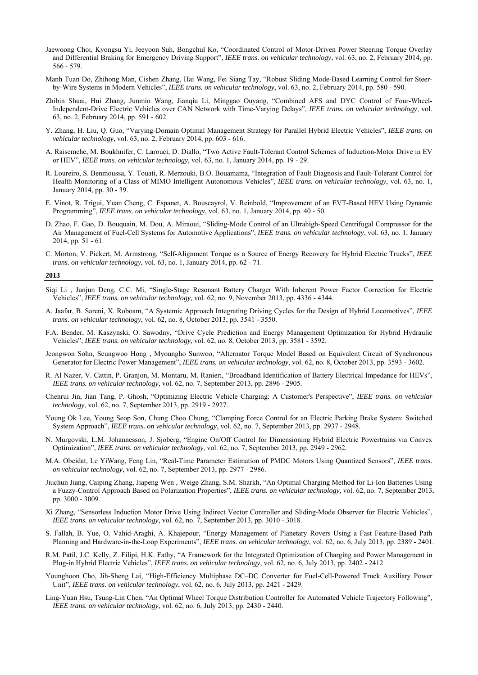- Jaewoong Choi, Kyongsu Yi, Jeeyoon Suh, Bongchul Ko, "Coordinated Control of Motor-Driven Power Steering Torque Overlay and Differential Braking for Emergency Driving Support", *IEEE trans. on vehicular technology*, vol. 63, no. 2, February 2014, pp. 566 - 579.
- Manh Tuan Do, Zhihong Man, Cishen Zhang, Hai Wang, Fei Siang Tay, "Robust Sliding Mode-Based Learning Control for Steerby-Wire Systems in Modern Vehicles", *IEEE trans. on vehicular technology*, vol. 63, no. 2, February 2014, pp. 580 - 590.
- Zhibin Shuai, Hui Zhang, Junmin Wang, Jianqiu Li, Minggao Ouyang, "Combined AFS and DYC Control of Four-Wheel-Independent-Drive Electric Vehicles over CAN Network with Time-Varying Delays", *IEEE trans. on vehicular technology*, vol. 63, no. 2, February 2014, pp. 591 - 602.
- Y. Zhang, H. Liu, Q. Guo, "Varying-Domain Optimal Management Strategy for Parallel Hybrid Electric Vehicles", *IEEE trans. on vehicular technology*, vol. 63, no. 2, February 2014, pp. 603 - 616.
- A. Raisemche, M. Boukhnifer, C. Larouci, D. Diallo, "Two Active Fault-Tolerant Control Schemes of Induction-Motor Drive in EV or HEV", *IEEE trans. on vehicular technology*, vol. 63, no. 1, January 2014, pp. 19 - 29.
- R. Loureiro, S. Benmoussa, Y. Touati, R. Merzouki, B.O. Bouamama, "Integration of Fault Diagnosis and Fault-Tolerant Control for Health Monitoring of a Class of MIMO Intelligent Autonomous Vehicles", *IEEE trans. on vehicular technology*, vol. 63, no. 1, January 2014, pp. 30 - 39.
- E. Vinot, R. Trigui, Yuan Cheng, C. Espanet, A. Bouscayrol, V. Reinbold, "Improvement of an EVT-Based HEV Using Dynamic Programming", *IEEE trans. on vehicular technology*, vol. 63, no. 1, January 2014, pp. 40 - 50.
- D. Zhao, F. Gao, D. Bouquain, M. Dou, A. Miraoui, "Sliding-Mode Control of an Ultrahigh-Speed Centrifugal Compressor for the Air Management of Fuel-Cell Systems for Automotive Applications", *IEEE trans. on vehicular technology*, vol. 63, no. 1, January 2014, pp. 51 - 61.
- C. Morton, V. Pickert, M. Armstrong, "Self-Alignment Torque as a Source of Energy Recovery for Hybrid Electric Trucks", *IEEE trans. on vehicular technology*, vol. 63, no. 1, January 2014, pp. 62 - 71.

- Siqi Li , Junjun Deng, C.C. Mi, "Single-Stage Resonant Battery Charger With Inherent Power Factor Correction for Electric Vehicles", *IEEE trans. on vehicular technology*, vol. 62, no. 9, November 2013, pp. 4336 - 4344.
- A. Jaafar, B. Sareni, X. Roboam, "A Systemic Approach Integrating Driving Cycles for the Design of Hybrid Locomotives", *IEEE trans. on vehicular technology*, vol. 62, no. 8, October 2013, pp. 3541 - 3550.
- F.A. Bender, M. Kaszynski, O. Sawodny, "Drive Cycle Prediction and Energy Management Optimization for Hybrid Hydraulic Vehicles", *IEEE trans. on vehicular technology*, vol. 62, no. 8, October 2013, pp. 3581 - 3592.
- Jeongwon Sohn, Seungwoo Hong , Myoungho Sunwoo, "Alternator Torque Model Based on Equivalent Circuit of Synchronous Generator for Electric Power Management", *IEEE trans. on vehicular technology*, vol. 62, no. 8, October 2013, pp. 3593 - 3602.
- R. Al Nazer, V. Cattin, P. Granjon, M. Montaru, M. Ranieri, "Broadband Identification of Battery Electrical Impedance for HEVs", *IEEE trans. on vehicular technology*, vol. 62, no. 7, September 2013, pp. 2896 - 2905.
- Chenrui Jin, Jian Tang, P. Ghosh, "Optimizing Electric Vehicle Charging: A Customer's Perspective", *IEEE trans. on vehicular technology*, vol. 62, no. 7, September 2013, pp. 2919 - 2927.
- Young Ok Lee, Young Seop Son, Chung Choo Chung, "Clamping Force Control for an Electric Parking Brake System: Switched System Approach", *IEEE trans. on vehicular technology*, vol. 62, no. 7, September 2013, pp. 2937 - 2948.
- N. Murgovski, L.M. Johannesson, J. Sjoberg, "Engine On/Off Control for Dimensioning Hybrid Electric Powertrains via Convex Optimization", *IEEE trans. on vehicular technology*, vol. 62, no. 7, September 2013, pp. 2949 - 2962.
- M.A. Obeidat, Le YiWang, Feng Lin, "Real-Time Parameter Estimation of PMDC Motors Using Quantized Sensors", *IEEE trans. on vehicular technology*, vol. 62, no. 7, September 2013, pp. 2977 - 2986.
- Jiuchun Jiang, Caiping Zhang, Jiapeng Wen , Weige Zhang, S.M. Sharkh, "An Optimal Charging Method for Li-Ion Batteries Using a Fuzzy-Control Approach Based on Polarization Properties", *IEEE trans. on vehicular technology*, vol. 62, no. 7, September 2013, pp. 3000 - 3009.
- Xi Zhang, "Sensorless Induction Motor Drive Using Indirect Vector Controller and Sliding-Mode Observer for Electric Vehicles", *IEEE trans. on vehicular technology*, vol. 62, no. 7, September 2013, pp. 3010 - 3018.
- S. Fallah, B. Yue, O. Vahid-Araghi, A. Khajepour, "Energy Management of Planetary Rovers Using a Fast Feature-Based Path Planning and Hardware-in-the-Loop Experiments", *IEEE trans. on vehicular technology*, vol. 62, no. 6, July 2013, pp. 2389 - 2401.
- R.M. Patil, J.C. Kelly, Z. Filipi, H.K. Fathy, "A Framework for the Integrated Optimization of Charging and Power Management in Plug-in Hybrid Electric Vehicles", *IEEE trans. on vehicular technology*, vol. 62, no. 6, July 2013, pp. 2402 - 2412.
- Younghoon Cho, Jih-Sheng Lai, "High-Efficiency Multiphase DC–DC Converter for Fuel-Cell-Powered Truck Auxiliary Power Unit", *IEEE trans. on vehicular technology*, vol. 62, no. 6, July 2013, pp. 2421 - 2429.
- Ling-Yuan Hsu, Tsung-Lin Chen, "An Optimal Wheel Torque Distribution Controller for Automated Vehicle Trajectory Following", *IEEE trans. on vehicular technology*, vol. 62, no. 6, July 2013, pp. 2430 - 2440.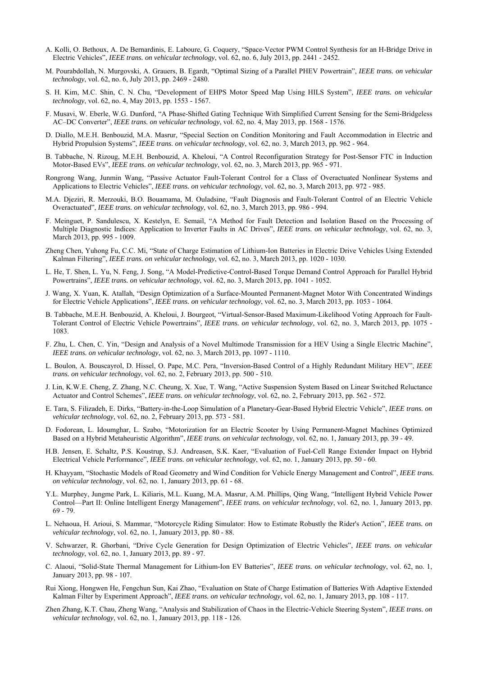- A. Kolli, O. Bethoux, A. De Bernardinis, E. Laboure, G. Coquery, "Space-Vector PWM Control Synthesis for an H-Bridge Drive in Electric Vehicles", *IEEE trans. on vehicular technology*, vol. 62, no. 6, July 2013, pp. 2441 - 2452.
- M. Pourabdollah, N. Murgovski, A. Grauers, B. Egardt, "Optimal Sizing of a Parallel PHEV Powertrain", *IEEE trans. on vehicular technology*, vol. 62, no. 6, July 2013, pp. 2469 - 2480.
- S. H. Kim, M.C. Shin, C. N. Chu, "Development of EHPS Motor Speed Map Using HILS System", *IEEE trans. on vehicular technology*, vol. 62, no. 4, May 2013, pp. 1553 - 1567.
- F. Musavi, W. Eberle, W.G. Dunford, "A Phase-Shifted Gating Technique With Simplified Current Sensing for the Semi-Bridgeless AC–DC Converter", *IEEE trans. on vehicular technology*, vol. 62, no. 4, May 2013, pp. 1568 - 1576.
- D. Diallo, M.E.H. Benbouzid, M.A. Masrur, "Special Section on Condition Monitoring and Fault Accommodation in Electric and Hybrid Propulsion Systems", *IEEE trans. on vehicular technology*, vol. 62, no. 3, March 2013, pp. 962 - 964.
- B. Tabbache, N. Rizoug, M.E.H. Benbouzid, A. Kheloui, "A Control Reconfiguration Strategy for Post-Sensor FTC in Induction Motor-Based EVs", *IEEE trans. on vehicular technology*, vol. 62, no. 3, March 2013, pp. 965 - 971.
- Rongrong Wang, Junmin Wang, "Passive Actuator Fault-Tolerant Control for a Class of Overactuated Nonlinear Systems and Applications to Electric Vehicles", *IEEE trans. on vehicular technology*, vol. 62, no. 3, March 2013, pp. 972 - 985.
- M.A. Djeziri, R. Merzouki, B.O. Bouamama, M. Ouladsine, "Fault Diagnosis and Fault-Tolerant Control of an Electric Vehicle Overactuated", *IEEE trans. on vehicular technology*, vol. 62, no. 3, March 2013, pp. 986 - 994.
- F. Meinguet, P. Sandulescu, X. Kestelyn, E. Semail, "A Method for Fault Detection and Isolation Based on the Processing of Multiple Diagnostic Indices: Application to Inverter Faults in AC Drives", *IEEE trans. on vehicular technology*, vol. 62, no. 3, March 2013, pp. 995 - 1009.
- Zheng Chen, Yuhong Fu, C.C. Mi, "State of Charge Estimation of Lithium-Ion Batteries in Electric Drive Vehicles Using Extended Kalman Filtering", *IEEE trans. on vehicular technology*, vol. 62, no. 3, March 2013, pp. 1020 - 1030.
- L. He, T. Shen, L. Yu, N. Feng, J. Song, "A Model-Predictive-Control-Based Torque Demand Control Approach for Parallel Hybrid Powertrains", *IEEE trans. on vehicular technology*, vol. 62, no. 3, March 2013, pp. 1041 - 1052.
- J. Wang, X. Yuan, K. Atallah, "Design Optimization of a Surface-Mounted Permanent-Magnet Motor With Concentrated Windings for Electric Vehicle Applications", *IEEE trans. on vehicular technology*, vol. 62, no. 3, March 2013, pp. 1053 - 1064.
- B. Tabbache, M.E.H. Benbouzid, A. Kheloui, J. Bourgeot, "Virtual-Sensor-Based Maximum-Likelihood Voting Approach for Fault-Tolerant Control of Electric Vehicle Powertrains", *IEEE trans. on vehicular technology*, vol. 62, no. 3, March 2013, pp. 1075 - 1083.
- F. Zhu, L. Chen, C. Yin, "Design and Analysis of a Novel Multimode Transmission for a HEV Using a Single Electric Machine", *IEEE trans. on vehicular technology*, vol. 62, no. 3, March 2013, pp. 1097 - 1110.
- L. Boulon, A. Bouscayrol, D. Hissel, O. Pape, M.C. Pera, "Inversion-Based Control of a Highly Redundant Military HEV", *IEEE trans. on vehicular technology*, vol. 62, no. 2, February 2013, pp. 500 - 510.
- J. Lin, K.W.E. Cheng, Z. Zhang, N.C. Cheung, X. Xue, T. Wang, "Active Suspension System Based on Linear Switched Reluctance Actuator and Control Schemes", *IEEE trans. on vehicular technology*, vol. 62, no. 2, February 2013, pp. 562 - 572.
- E. Tara, S. Filizadeh, E. Dirks, "Battery-in-the-Loop Simulation of a Planetary-Gear-Based Hybrid Electric Vehicle", *IEEE trans. on vehicular technology*, vol. 62, no. 2, February 2013, pp. 573 - 581.
- D. Fodorean, L. Idoumghar, L. Szabo, "Motorization for an Electric Scooter by Using Permanent-Magnet Machines Optimized Based on a Hybrid Metaheuristic Algorithm", *IEEE trans. on vehicular technology*, vol. 62, no. 1, January 2013, pp. 39 - 49.
- H.B. Jensen, E. Schaltz, P.S. Koustrup, S.J. Andreasen, S.K. Kaer, "Evaluation of Fuel-Cell Range Extender Impact on Hybrid Electrical Vehicle Performance", *IEEE trans. on vehicular technology*, vol. 62, no. 1, January 2013, pp. 50 - 60.
- H. Khayyam, "Stochastic Models of Road Geometry and Wind Condition for Vehicle Energy Management and Control", *IEEE trans. on vehicular technology*, vol. 62, no. 1, January 2013, pp. 61 - 68.
- Y.L. Murphey, Jungme Park, L. Kiliaris, M.L. Kuang, M.A. Masrur, A.M. Phillips, Qing Wang, "Intelligent Hybrid Vehicle Power Control—Part II: Online Intelligent Energy Management", *IEEE trans. on vehicular technology*, vol. 62, no. 1, January 2013, pp. 69 - 79.
- L. Nehaoua, H. Arioui, S. Mammar, "Motorcycle Riding Simulator: How to Estimate Robustly the Rider's Action", *IEEE trans. on vehicular technology*, vol. 62, no. 1, January 2013, pp. 80 - 88.
- V. Schwarzer, R. Ghorbani, "Drive Cycle Generation for Design Optimization of Electric Vehicles", *IEEE trans. on vehicular technology*, vol. 62, no. 1, January 2013, pp. 89 - 97.
- C. Alaoui, "Solid-State Thermal Management for Lithium-Ion EV Batteries", *IEEE trans. on vehicular technology*, vol. 62, no. 1, January 2013, pp. 98 - 107.
- Rui Xiong, Hongwen He, Fengchun Sun, Kai Zhao, "Evaluation on State of Charge Estimation of Batteries With Adaptive Extended Kalman Filter by Experiment Approach", *IEEE trans. on vehicular technology*, vol. 62, no. 1, January 2013, pp. 108 - 117.
- Zhen Zhang, K.T. Chau, Zheng Wang, "Analysis and Stabilization of Chaos in the Electric-Vehicle Steering System", *IEEE trans. on vehicular technology*, vol. 62, no. 1, January 2013, pp. 118 - 126.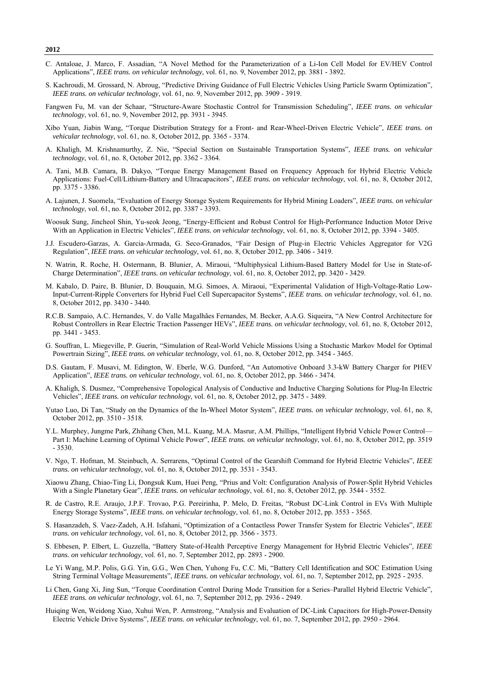- C. Antaloae, J. Marco, F. Assadian, "A Novel Method for the Parameterization of a Li-Ion Cell Model for EV/HEV Control Applications", *IEEE trans. on vehicular technology*, vol. 61, no. 9, November 2012, pp. 3881 - 3892.
- S. Kachroudi, M. Grossard, N. Abroug, "Predictive Driving Guidance of Full Electric Vehicles Using Particle Swarm Optimization", *IEEE trans. on vehicular technology*, vol. 61, no. 9, November 2012, pp. 3909 - 3919.
- Fangwen Fu, M. van der Schaar, "Structure-Aware Stochastic Control for Transmission Scheduling", *IEEE trans. on vehicular technology*, vol. 61, no. 9, November 2012, pp. 3931 - 3945.
- Xibo Yuan, Jiabin Wang, "Torque Distribution Strategy for a Front- and Rear-Wheel-Driven Electric Vehicle", *IEEE trans. on vehicular technology*, vol. 61, no. 8, October 2012, pp. 3365 - 3374.
- A. Khaligh, M. Krishnamurthy, Z. Nie, "Special Section on Sustainable Transportation Systems", *IEEE trans. on vehicular technology*, vol. 61, no. 8, October 2012, pp. 3362 - 3364.
- A. Tani, M.B. Camara, B. Dakyo, "Torque Energy Management Based on Frequency Approach for Hybrid Electric Vehicle Applications: Fuel-Cell/Lithium-Battery and Ultracapacitors", *IEEE trans. on vehicular technology*, vol. 61, no. 8, October 2012, pp. 3375 - 3386.
- A. Lajunen, J. Suomela, "Evaluation of Energy Storage System Requirements for Hybrid Mining Loaders", *IEEE trans. on vehicular technology*, vol. 61, no. 8, October 2012, pp. 3387 - 3393.
- Woosuk Sung, Jincheol Shin, Yu-seok Jeong, "Energy-Efficient and Robust Control for High-Performance Induction Motor Drive With an Application in Electric Vehicles", *IEEE trans. on vehicular technology*, vol. 61, no. 8, October 2012, pp. 3394 - 3405.
- J.J. Escudero-Garzas, A. Garcia-Armada, G. Seco-Granados, "Fair Design of Plug-in Electric Vehicles Aggregator for V2G Regulation", *IEEE trans. on vehicular technology*, vol. 61, no. 8, October 2012, pp. 3406 - 3419.
- N. Watrin, R. Roche, H. Ostermann, B. Blunier, A. Miraoui, "Multiphysical Lithium-Based Battery Model for Use in State-of-Charge Determination", *IEEE trans. on vehicular technology*, vol. 61, no. 8, October 2012, pp. 3420 - 3429.
- M. Kabalo, D. Paire, B. Blunier, D. Bouquain, M.G. Simoes, A. Miraoui, "Experimental Validation of High-Voltage-Ratio Low-Input-Current-Ripple Converters for Hybrid Fuel Cell Supercapacitor Systems", *IEEE trans. on vehicular technology*, vol. 61, no. 8, October 2012, pp. 3430 - 3440.
- R.C.B. Sampaio, A.C. Hernandes, V. do Valle Magalhães Fernandes, M. Becker, A.A.G. Siqueira, "A New Control Architecture for Robust Controllers in Rear Electric Traction Passenger HEVs", *IEEE trans. on vehicular technology*, vol. 61, no. 8, October 2012, pp. 3441 - 3453.
- G. Souffran, L. Miegeville, P. Guerin, "Simulation of Real-World Vehicle Missions Using a Stochastic Markov Model for Optimal Powertrain Sizing", *IEEE trans. on vehicular technology*, vol. 61, no. 8, October 2012, pp. 3454 - 3465.
- D.S. Gautam, F. Musavi, M. Edington, W. Eberle, W.G. Dunford, "An Automotive Onboard 3.3-kW Battery Charger for PHEV Application", *IEEE trans. on vehicular technology*, vol. 61, no. 8, October 2012, pp. 3466 - 3474.
- A. Khaligh, S. Dusmez, "Comprehensive Topological Analysis of Conductive and Inductive Charging Solutions for Plug-In Electric Vehicles", *IEEE trans. on vehicular technology*, vol. 61, no. 8, October 2012, pp. 3475 - 3489.
- Yutao Luo, Di Tan, "Study on the Dynamics of the In-Wheel Motor System", *IEEE trans. on vehicular technology*, vol. 61, no. 8, October 2012, pp. 3510 - 3518.
- Y.L. Murphey, Jungme Park, Zhihang Chen, M.L. Kuang, M.A. Masrur, A.M. Phillips, "Intelligent Hybrid Vehicle Power Control— Part I: Machine Learning of Optimal Vehicle Power", *IEEE trans. on vehicular technology*, vol. 61, no. 8, October 2012, pp. 3519 - 3530.
- V. Ngo, T. Hofman, M. Steinbuch, A. Serrarens, "Optimal Control of the Gearshift Command for Hybrid Electric Vehicles", *IEEE trans. on vehicular technology*, vol. 61, no. 8, October 2012, pp. 3531 - 3543.
- Xiaowu Zhang, Chiao-Ting Li, Dongsuk Kum, Huei Peng, "Prius and Volt: Configuration Analysis of Power-Split Hybrid Vehicles With a Single Planetary Gear", *IEEE trans. on vehicular technology*, vol. 61, no. 8, October 2012, pp. 3544 - 3552.
- R. de Castro, R.E. Araujo, J.P.F. Trovao, P.G. Pereirinha, P. Melo, D. Freitas, "Robust DC-Link Control in EVs With Multiple Energy Storage Systems", *IEEE trans. on vehicular technology*, vol. 61, no. 8, October 2012, pp. 3553 - 3565.
- S. Hasanzadeh, S. Vaez-Zadeh, A.H. Isfahani, "Optimization of a Contactless Power Transfer System for Electric Vehicles", *IEEE trans. on vehicular technology*, vol. 61, no. 8, October 2012, pp. 3566 - 3573.
- S. Ebbesen, P. Elbert, L. Guzzella, "Battery State-of-Health Perceptive Energy Management for Hybrid Electric Vehicles", *IEEE trans. on vehicular technology*, vol. 61, no. 7, September 2012, pp. 2893 - 2900.
- Le Yi Wang, M.P. Polis, G.G. Yin, G.G., Wen Chen, Yuhong Fu, C.C. Mi, "Battery Cell Identification and SOC Estimation Using String Terminal Voltage Measurements", *IEEE trans. on vehicular technology*, vol. 61, no. 7, September 2012, pp. 2925 - 2935.
- Li Chen, Gang Xi, Jing Sun, "Torque Coordination Control During Mode Transition for a Series–Parallel Hybrid Electric Vehicle", *IEEE trans. on vehicular technology*, vol. 61, no. 7, September 2012, pp. 2936 - 2949.
- Huiqing Wen, Weidong Xiao, Xuhui Wen, P. Armstrong, "Analysis and Evaluation of DC-Link Capacitors for High-Power-Density Electric Vehicle Drive Systems", *IEEE trans. on vehicular technology*, vol. 61, no. 7, September 2012, pp. 2950 - 2964.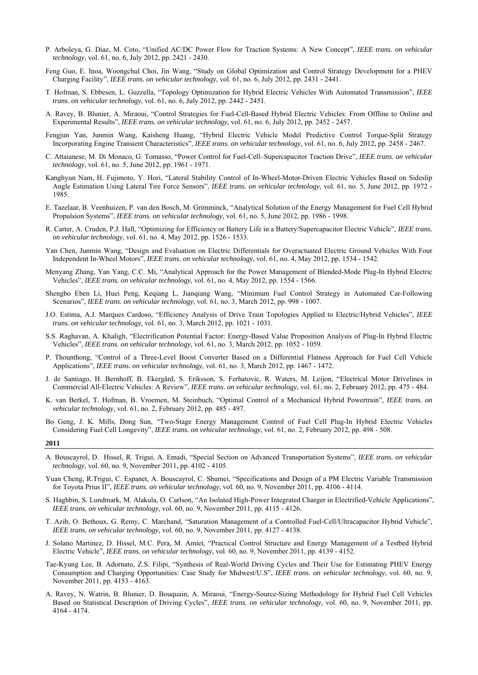- P. Arboleya, G. Diaz, M. Coto, "Unified AC/DC Power Flow for Traction Systems: A New Concept", *IEEE trans. on vehicular technology*, vol. 61, no. 6, July 2012, pp. 2421 - 2430.
- Feng Guo, E. Inoa, Woongchul Choi, Jin Wang, "Study on Global Optimization and Control Strategy Development for a PHEV Charging Facility", *IEEE trans. on vehicular technology*, vol. 61, no. 6, July 2012, pp. 2431 - 2441.
- T. Hofman, S. Ebbesen, L. Guzzella, "Topology Optimization for Hybrid Electric Vehicles With Automated Transmission", *IEEE trans. on vehicular technology*, vol. 61, no. 6, July 2012, pp. 2442 - 2451.
- A. Ravey, B. Blunier, A. Miraoui, "Control Strategies for Fuel-Cell-Based Hybrid Electric Vehicles: From Offline to Online and Experimental Results", *IEEE trans. on vehicular technology*, vol. 61, no. 6, July 2012, pp. 2452 - 2457.
- Fengjun Yan, Junmin Wang, Kaisheng Huang, "Hybrid Electric Vehicle Model Predictive Control Torque-Split Strategy Incorporating Engine Transient Characteristics", *IEEE trans. on vehicular technology*, vol. 61, no. 6, July 2012, pp. 2458 - 2467.
- C. Attaianese, M. Di Monaco, G. Tomasso, "Power Control for Fuel-Cell–Supercapacitor Traction Drive", *IEEE trans. on vehicular technology*, vol. 61, no. 5, June 2012, pp. 1961 - 1971.
- Kanghyun Nam, H. Fujimoto, Y. Hori, "Lateral Stability Control of In-Wheel-Motor-Driven Electric Vehicles Based on Sideslip Angle Estimation Using Lateral Tire Force Sensors", *IEEE trans. on vehicular technology*, vol. 61, no. 5, June 2012, pp. 1972 - 1985.
- E. Tazelaar, B. Veenhuizen, P. van den Bosch, M. Grimminck, "Analytical Solution of the Energy Management for Fuel Cell Hybrid Propulsion Systems", *IEEE trans. on vehicular technology*, vol. 61, no. 5, June 2012, pp. 1986 - 1998.
- R. Carter, A. Cruden, P.J. Hall, "Optimizing for Efficiency or Battery Life in a Battery/Supercapacitor Electric Vehicle", *IEEE trans. on vehicular technology*, vol. 61, no. 4, May 2012, pp. 1526 - 1533.
- Yan Chen, Junmin Wang, "Design and Evaluation on Electric Differentials for Overactuated Electric Ground Vehicles With Four Independent In-Wheel Motors", *IEEE trans. on vehicular technology*, vol. 61, no. 4, May 2012, pp. 1534 - 1542.
- Menyang Zhang, Yan Yang, C.C. Mi, "Analytical Approach for the Power Management of Blended-Mode Plug-In Hybrid Electric Vehicles", *IEEE trans. on vehicular technology*, vol. 61, no. 4, May 2012, pp. 1554 - 1566.
- Shengbo Eben Li, Huei Peng, Keqiang L, Jianqiang Wang, "Minimum Fuel Control Strategy in Automated Car-Following Scenarios", *IEEE trans. on vehicular technology*, vol. 61, no. 3, March 2012, pp. 998 - 1007.
- J.O. Estima, A.J. Marques Cardoso, "Efficiency Analysis of Drive Train Topologies Applied to Electric/Hybrid Vehicles", *IEEE trans. on vehicular technology*, vol. 61, no. 3, March 2012, pp. 1021 - 1031.
- S.S. Raghavan, A. Khaligh, "Electrification Potential Factor: Energy-Based Value Proposition Analysis of Plug-In Hybrid Electric Vehicles", *IEEE trans. on vehicular technology*, vol. 61, no. 3, March 2012, pp. 1052 - 1059.
- P. Thounthong, "Control of a Three-Level Boost Converter Based on a Differential Flatness Approach for Fuel Cell Vehicle Applications", *IEEE trans. on vehicular technology*, vol. 61, no. 3, March 2012, pp. 1467 - 1472.
- J. de Santiago, H. Bernhoff, B. Ekergård, S. Eriksson, S. Ferhatovic, R. Waters, M. Leijon, "Electrical Motor Drivelines in Commercial All-Electric Vehicles: A Review", *IEEE trans. on vehicular technology*, vol. 61, no. 2, February 2012, pp. 475 - 484.
- K. van Berkel, T. Hofman, B. Vroemen, M. Steinbuch, "Optimal Control of a Mechanical Hybrid Powertrain", *IEEE trans. on vehicular technology*, vol. 61, no. 2, February 2012, pp. 485 - 497.
- Bo Geng, J. K. Mills, Dong Sun, "Two-Stage Energy Management Control of Fuel Cell Plug-In Hybrid Electric Vehicles Considering Fuel Cell Longevity", *IEEE trans. on vehicular technology*, vol. 61, no. 2, February 2012, pp. 498 - 508.
- **2011**
- A. Bouscayrol, D. Hissel, R. Trigui, A. Emadi, "Special Section on Advanced Transportation Systems", *IEEE trans. on vehicular technology*, vol. 60, no. 9, November 2011, pp. 4102 - 4105.
- Yuan Cheng, R.Trigui, C. Espanet, A. Bouscayrol, C. Shumei, "Specifications and Design of a PM Electric Variable Transmission for Toyota Prius II", *IEEE trans. on vehicular technology*, vol. 60, no. 9, November 2011, pp. 4106 - 4114.
- S. Haghbin, S. Lundmark, M. Alakula, O. Carlson, "An Isolated High-Power Integrated Charger in Electrified-Vehicle Applications", *IEEE trans. on vehicular technology*, vol. 60, no. 9, November 2011, pp. 4115 - 4126.
- T. Azib, O. Bethoux, G. Remy, C. Marchand, "Saturation Management of a Controlled Fuel-Cell/Ultracapacitor Hybrid Vehicle", *IEEE trans. on vehicular technology*, vol. 60, no. 9, November 2011, pp. 4127 - 4138.
- J. Solano Martinez, D. Hissel, M.C. Pera, M. Amiet, "Practical Control Structure and Energy Management of a Testbed Hybrid Electric Vehicle", *IEEE trans. on vehicular technology*, vol. 60, no. 9, November 2011, pp. 4139 - 4152.
- Tae-Kyung Lee, B. Adornato, Z.S. Filipi, "Synthesis of Real-World Driving Cycles and Their Use for Estimating PHEV Energy Consumption and Charging Opportunities: Case Study for Midwest/U.S", *IEEE trans. on vehicular technology*, vol. 60, no. 9, November 2011, pp. 4153 - 4163.
- A. Ravey, N. Watrin, B. Blunier, D. Bouquain, A. Miraoui, "Energy-Source-Sizing Methodology for Hybrid Fuel Cell Vehicles Based on Statistical Description of Driving Cycles", *IEEE trans. on vehicular technology*, vol. 60, no. 9, November 2011, pp. 4164 - 4174.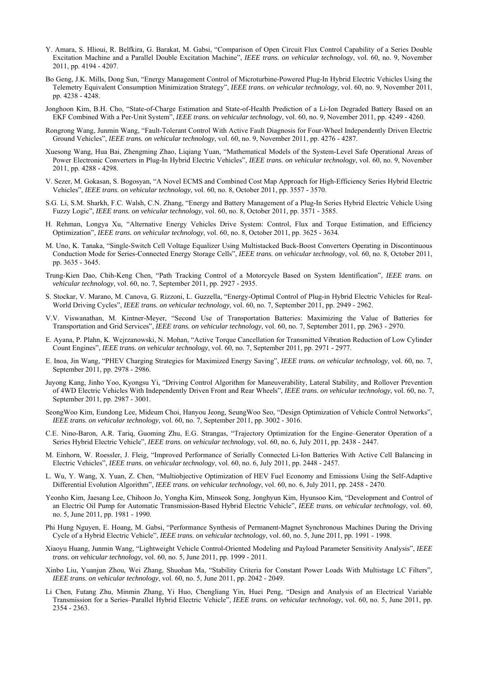- Y. Amara, S. Hlioui, R. Belfkira, G. Barakat, M. Gabsi, "Comparison of Open Circuit Flux Control Capability of a Series Double Excitation Machine and a Parallel Double Excitation Machine", *IEEE trans. on vehicular technology*, vol. 60, no. 9, November 2011, pp. 4194 - 4207.
- Bo Geng, J.K. Mills, Dong Sun, "Energy Management Control of Microturbine-Powered Plug-In Hybrid Electric Vehicles Using the Telemetry Equivalent Consumption Minimization Strategy", *IEEE trans. on vehicular technology*, vol. 60, no. 9, November 2011, pp. 4238 - 4248.
- Jonghoon Kim, B.H. Cho, "State-of-Charge Estimation and State-of-Health Prediction of a Li-Ion Degraded Battery Based on an EKF Combined With a Per-Unit System", *IEEE trans. on vehicular technology*, vol. 60, no. 9, November 2011, pp. 4249 - 4260.
- Rongrong Wang, Junmin Wang, "Fault-Tolerant Control With Active Fault Diagnosis for Four-Wheel Independently Driven Electric Ground Vehicles", *IEEE trans. on vehicular technology*, vol. 60, no. 9, November 2011, pp. 4276 - 4287.
- Xuesong Wang, Hua Bai, Zhengming Zhao, Liqiang Yuan, "Mathematical Models of the System-Level Safe Operational Areas of Power Electronic Converters in Plug-In Hybrid Electric Vehicles", *IEEE trans. on vehicular technology*, vol. 60, no. 9, November 2011, pp. 4288 - 4298.
- V. Sezer, M. Gokasan, S. Bogosyan, "A Novel ECMS and Combined Cost Map Approach for High-Efficiency Series Hybrid Electric Vehicles", *IEEE trans. on vehicular technology*, vol. 60, no. 8, October 2011, pp. 3557 - 3570.
- S.G. Li, S.M. Sharkh, F.C. Walsh, C.N. Zhang, "Energy and Battery Management of a Plug-In Series Hybrid Electric Vehicle Using Fuzzy Logic", *IEEE trans. on vehicular technology*, vol. 60, no. 8, October 2011, pp. 3571 - 3585.
- H. Rehman, Longya Xu, "Alternative Energy Vehicles Drive System: Control, Flux and Torque Estimation, and Efficiency Optimization", *IEEE trans. on vehicular technology*, vol. 60, no. 8, October 2011, pp. 3625 - 3634.
- M. Uno, K. Tanaka, "Single-Switch Cell Voltage Equalizer Using Multistacked Buck-Boost Converters Operating in Discontinuous Conduction Mode for Series-Connected Energy Storage Cells", *IEEE trans. on vehicular technology*, vol. 60, no. 8, October 2011, pp. 3635 - 3645.
- Trung-Kien Dao, Chih-Keng Chen, "Path Tracking Control of a Motorcycle Based on System Identification", *IEEE trans. on vehicular technology*, vol. 60, no. 7, September 2011, pp. 2927 - 2935.
- S. Stockar, V. Marano, M. Canova, G. Rizzoni, L. Guzzella, "Energy-Optimal Control of Plug-in Hybrid Electric Vehicles for Real-World Driving Cycles", *IEEE trans. on vehicular technology*, vol. 60, no. 7, September 2011, pp. 2949 - 2962.
- V.V. Viswanathan, M. Kintner-Meyer, "Second Use of Transportation Batteries: Maximizing the Value of Batteries for Transportation and Grid Services", *IEEE trans. on vehicular technology*, vol. 60, no. 7, September 2011, pp. 2963 - 2970.
- E. Ayana, P. Plahn, K. Wejrzanowski, N. Mohan, "Active Torque Cancellation for Transmitted Vibration Reduction of Low Cylinder Count Engines", *IEEE trans. on vehicular technology*, vol. 60, no. 7, September 2011, pp. 2971 - 2977.
- E. Inoa, Jin Wang, "PHEV Charging Strategies for Maximized Energy Saving", *IEEE trans. on vehicular technology*, vol. 60, no. 7, September 2011, pp. 2978 - 2986.
- Juyong Kang, Jinho Yoo, Kyongsu Yi, "Driving Control Algorithm for Maneuverability, Lateral Stability, and Rollover Prevention of 4WD Electric Vehicles With Independently Driven Front and Rear Wheels", *IEEE trans. on vehicular technology*, vol. 60, no. 7, September 2011, pp. 2987 - 3001.
- SeongWoo Kim, Eundong Lee, Mideum Choi, Hanyou Jeong, SeungWoo Seo, "Design Optimization of Vehicle Control Networks", *IEEE trans. on vehicular technology*, vol. 60, no. 7, September 2011, pp. 3002 - 3016.
- C.E. Nino-Baron, A.R. Tariq, Guoming Zhu, E.G. Strangas, "Trajectory Optimization for the Engine–Generator Operation of a Series Hybrid Electric Vehicle", *IEEE trans. on vehicular technology*, vol. 60, no. 6, July 2011, pp. 2438 - 2447.
- M. Einhorn, W. Roessler, J. Fleig, "Improved Performance of Serially Connected Li-Ion Batteries With Active Cell Balancing in Electric Vehicles", *IEEE trans. on vehicular technology*, vol. 60, no. 6, July 2011, pp. 2448 - 2457.
- L. Wu, Y. Wang, X. Yuan, Z. Chen, "Multiobjective Optimization of HEV Fuel Economy and Emissions Using the Self-Adaptive Differential Evolution Algorithm", *IEEE trans. on vehicular technology*, vol. 60, no. 6, July 2011, pp. 2458 - 2470.
- Yeonho Kim, Jaesang Lee, Chihoon Jo, Yongha Kim, Minseok Song, Jonghyun Kim, Hyunsoo Kim, "Development and Control of an Electric Oil Pump for Automatic Transmission-Based Hybrid Electric Vehicle", *IEEE trans. on vehicular technology*, vol. 60, no. 5, June 2011, pp. 1981 - 1990.
- Phi Hung Nguyen, E. Hoang, M. Gabsi, "Performance Synthesis of Permanent-Magnet Synchronous Machines During the Driving Cycle of a Hybrid Electric Vehicle", *IEEE trans. on vehicular technology*, vol. 60, no. 5, June 2011, pp. 1991 - 1998.
- Xiaoyu Huang, Junmin Wang, "Lightweight Vehicle Control-Oriented Modeling and Payload Parameter Sensitivity Analysis", *IEEE trans. on vehicular technology*, vol. 60, no. 5, June 2011, pp. 1999 - 2011.
- Xinbo Liu, Yuanjun Zhou, Wei Zhang, Shuohan Ma, "Stability Criteria for Constant Power Loads With Multistage LC Filters", *IEEE trans. on vehicular technology*, vol. 60, no. 5, June 2011, pp. 2042 - 2049.
- Li Chen, Futang Zhu, Minmin Zhang, Yi Huo, Chengliang Yin, Huei Peng, "Design and Analysis of an Electrical Variable Transmission for a Series–Parallel Hybrid Electric Vehicle", *IEEE trans. on vehicular technology*, vol. 60, no. 5, June 2011, pp. 2354 - 2363.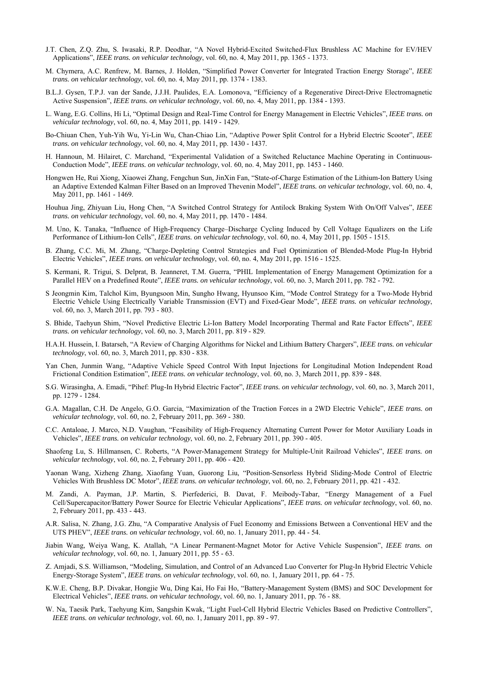- J.T. Chen, Z.Q. Zhu, S. Iwasaki, R.P. Deodhar, "A Novel Hybrid-Excited Switched-Flux Brushless AC Machine for EV/HEV Applications", *IEEE trans. on vehicular technology*, vol. 60, no. 4, May 2011, pp. 1365 - 1373.
- M. Chymera, A.C. Renfrew, M. Barnes, J. Holden, "Simplified Power Converter for Integrated Traction Energy Storage", *IEEE trans. on vehicular technology*, vol. 60, no. 4, May 2011, pp. 1374 - 1383.
- B.L.J. Gysen, T.P.J. van der Sande, J.J.H. Paulides, E.A. Lomonova, "Efficiency of a Regenerative Direct-Drive Electromagnetic Active Suspension", *IEEE trans. on vehicular technology*, vol. 60, no. 4, May 2011, pp. 1384 - 1393.
- L. Wang, E.G. Collins, Hi Li, "Optimal Design and Real-Time Control for Energy Management in Electric Vehicles", *IEEE trans. on vehicular technology*, vol. 60, no. 4, May 2011, pp. 1419 - 1429.
- Bo-Chiuan Chen, Yuh-Yih Wu, Yi-Lin Wu, Chan-Chiao Lin, "Adaptive Power Split Control for a Hybrid Electric Scooter", *IEEE trans. on vehicular technology*, vol. 60, no. 4, May 2011, pp. 1430 - 1437.
- H. Hannoun, M. Hilairet, C. Marchand, "Experimental Validation of a Switched Reluctance Machine Operating in Continuous-Conduction Mode", *IEEE trans. on vehicular technology*, vol. 60, no. 4, May 2011, pp. 1453 - 1460.
- Hongwen He, Rui Xiong, Xiaowei Zhang, Fengchun Sun, JinXin Fan, "State-of-Charge Estimation of the Lithium-Ion Battery Using an Adaptive Extended Kalman Filter Based on an Improved Thevenin Model", *IEEE trans. on vehicular technology*, vol. 60, no. 4, May 2011, pp. 1461 - 1469.
- Houhua Jing, Zhiyuan Liu, Hong Chen, "A Switched Control Strategy for Antilock Braking System With On/Off Valves", *IEEE trans. on vehicular technology*, vol. 60, no. 4, May 2011, pp. 1470 - 1484.
- M. Uno, K. Tanaka, "Influence of High-Frequency Charge–Discharge Cycling Induced by Cell Voltage Equalizers on the Life Performance of Lithium-Ion Cells", *IEEE trans. on vehicular technology*, vol. 60, no. 4, May 2011, pp. 1505 - 1515.
- B. Zhang, C.C. Mi, M. Zhang, "Charge-Depleting Control Strategies and Fuel Optimization of Blended-Mode Plug-In Hybrid Electric Vehicles", *IEEE trans. on vehicular technology*, vol. 60, no. 4, May 2011, pp. 1516 - 1525.
- S. Kermani, R. Trigui, S. Delprat, B. Jeanneret, T.M. Guerra, "PHIL Implementation of Energy Management Optimization for a Parallel HEV on a Predefined Route", *IEEE trans. on vehicular technology*, vol. 60, no. 3, March 2011, pp. 782 - 792.
- S Jeongmin Kim, Talchol Kim, Byungsoon Min, Sungho Hwang, Hyunsoo Kim, "Mode Control Strategy for a Two-Mode Hybrid Electric Vehicle Using Electrically Variable Transmission (EVT) and Fixed-Gear Mode", *IEEE trans. on vehicular technology*, vol. 60, no. 3, March 2011, pp. 793 - 803.
- S. Bhide, Taehyun Shim, "Novel Predictive Electric Li-Ion Battery Model Incorporating Thermal and Rate Factor Effects", *IEEE trans. on vehicular technology*, vol. 60, no. 3, March 2011, pp. 819 - 829.
- H.A.H. Hussein, I. Batarseh, "A Review of Charging Algorithms for Nickel and Lithium Battery Chargers", *IEEE trans. on vehicular technology*, vol. 60, no. 3, March 2011, pp. 830 - 838.
- Yan Chen, Junmin Wang, "Adaptive Vehicle Speed Control With Input Injections for Longitudinal Motion Independent Road Frictional Condition Estimation", *IEEE trans. on vehicular technology*, vol. 60, no. 3, March 2011, pp. 839 - 848.
- S.G. Wirasingha, A. Emadi, "Pihef: Plug-In Hybrid Electric Factor", *IEEE trans. on vehicular technology*, vol. 60, no. 3, March 2011, pp. 1279 - 1284.
- G.A. Magallan, C.H. De Angelo, G.O. Garcia, "Maximization of the Traction Forces in a 2WD Electric Vehicle", *IEEE trans. on vehicular technology*, vol. 60, no. 2, February 2011, pp. 369 - 380.
- C.C. Antaloae, J. Marco, N.D. Vaughan, "Feasibility of High-Frequency Alternating Current Power for Motor Auxiliary Loads in Vehicles", *IEEE trans. on vehicular technology*, vol. 60, no. 2, February 2011, pp. 390 - 405.
- Shaofeng Lu, S. Hillmansen, C. Roberts, "A Power-Management Strategy for Multiple-Unit Railroad Vehicles", *IEEE trans. on vehicular technology*, vol. 60, no. 2, February 2011, pp. 406 - 420.
- Yaonan Wang, Xizheng Zhang, Xiaofang Yuan, Guorong Liu, "Position-Sensorless Hybrid Sliding-Mode Control of Electric Vehicles With Brushless DC Motor", *IEEE trans. on vehicular technology*, vol. 60, no. 2, February 2011, pp. 421 - 432.
- M. Zandi, A. Payman, J.P. Martin, S. Pierfederici, B. Davat, F. Meibody-Tabar, "Energy Management of a Fuel Cell/Supercapacitor/Battery Power Source for Electric Vehicular Applications", *IEEE trans. on vehicular technology*, vol. 60, no. 2, February 2011, pp. 433 - 443.
- A.R. Salisa, N. Zhang, J.G. Zhu, "A Comparative Analysis of Fuel Economy and Emissions Between a Conventional HEV and the UTS PHEV", *IEEE trans. on vehicular technology*, vol. 60, no. 1, January 2011, pp. 44 - 54.
- Jiabin Wang, Weiya Wang, K. Atallah, "A Linear Permanent-Magnet Motor for Active Vehicle Suspension", *IEEE trans. on vehicular technology*, vol. 60, no. 1, January 2011, pp. 55 - 63.
- Z. Amjadi, S.S. Williamson, "Modeling, Simulation, and Control of an Advanced Luo Converter for Plug-In Hybrid Electric Vehicle Energy-Storage System", *IEEE trans. on vehicular technology*, vol. 60, no. 1, January 2011, pp. 64 - 75.
- K.W.E. Cheng, B.P. Divakar, Hongjie Wu, Ding Kai, Ho Fai Ho, "Battery-Management System (BMS) and SOC Development for Electrical Vehicles", *IEEE trans. on vehicular technology*, vol. 60, no. 1, January 2011, pp. 76 - 88.
- W. Na, Taesik Park, Taehyung Kim, Sangshin Kwak, "Light Fuel-Cell Hybrid Electric Vehicles Based on Predictive Controllers", *IEEE trans. on vehicular technology*, vol. 60, no. 1, January 2011, pp. 89 - 97.